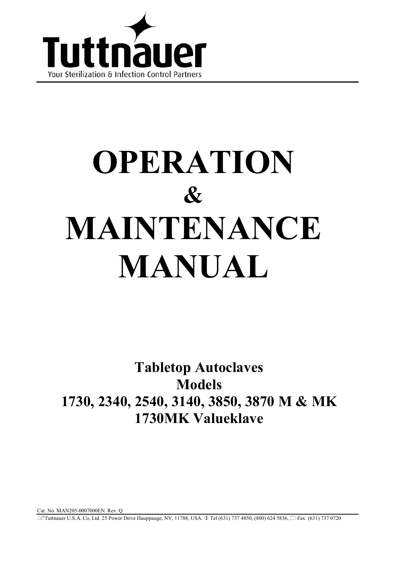

# OPERATION  $\mathcal{R}_{I}$ MAINTENANCE **MANUAL**

**Tabletop Autoclaves Models** 1730, 2340, 2540, 3140, 3850, 3870 M & MK 1730MK Valueklave

Cat. No. MAN205-0007000EN Rev. Q *E*Tuttnauer U.S.A. Co, Ltd. 25 Power Drive Hauppauge, NY, 11788, USA. ① Tel (631) 737 4850, (800) 624 5836, □ Fax: (631) 737 0720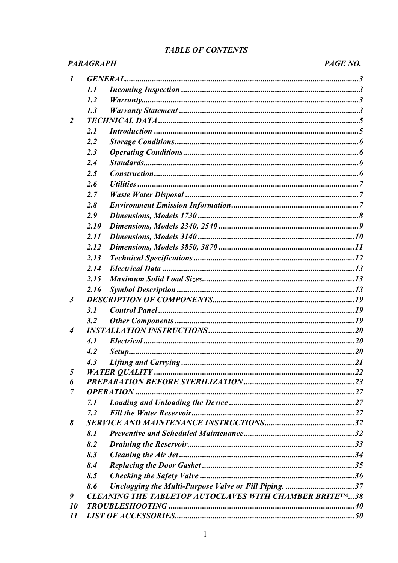# **TABLE OF CONTENTS**

|                            | <b>PARAGRAPH</b> |                                                         | PAGE NO. |
|----------------------------|------------------|---------------------------------------------------------|----------|
| $\boldsymbol{l}$           |                  | <b>GENERAL.</b>                                         |          |
|                            | 1.1              |                                                         |          |
|                            | 1.2              |                                                         |          |
|                            | 1.3              |                                                         |          |
| 2                          |                  |                                                         |          |
|                            | 2.1              |                                                         |          |
|                            | 2.2              |                                                         |          |
|                            | 2.3              |                                                         |          |
|                            | 2.4              |                                                         |          |
|                            | 2.5              |                                                         |          |
|                            | 2.6              |                                                         |          |
|                            | 2.7              |                                                         |          |
|                            | 2.8              |                                                         |          |
|                            | 2.9              |                                                         |          |
|                            | 2.10             |                                                         |          |
|                            | 2.11             |                                                         |          |
|                            | 2.12             |                                                         |          |
|                            | 2.13             |                                                         |          |
|                            | 2.14             |                                                         |          |
|                            | 2.15             |                                                         |          |
|                            | 2.16             |                                                         |          |
| $\mathfrak{z}$             |                  |                                                         |          |
|                            | 3.1              |                                                         |          |
|                            | 3.2              |                                                         |          |
| 4                          |                  |                                                         |          |
|                            | 4.1              |                                                         |          |
|                            | 4.2              |                                                         |          |
|                            | 4.3              |                                                         |          |
| 5                          |                  |                                                         |          |
| 6                          |                  |                                                         |          |
| 7                          |                  |                                                         |          |
|                            | 7.1              |                                                         |          |
|                            | 7.2              |                                                         |          |
| 8                          |                  |                                                         |          |
|                            | 8.1              |                                                         |          |
|                            | 8.2              |                                                         |          |
|                            | 8.3              |                                                         |          |
|                            | 8.4              |                                                         |          |
|                            | 8.5              |                                                         |          |
|                            | 8.6              | Unclogging the Multi-Purpose Valve or Fill Piping. 37   |          |
| 9                          |                  | CLEANING THE TABLETOP AUTOCLAVES WITH CHAMBER BRITETM38 |          |
| 10                         |                  |                                                         |          |
| $\boldsymbol{\mathit{11}}$ |                  |                                                         |          |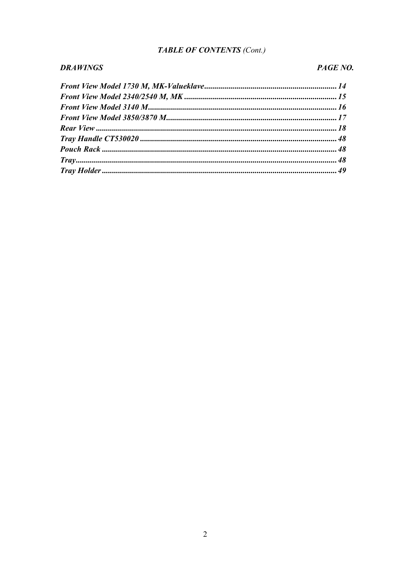# TABLE OF CONTENTS (Cont.)

#### **DRAWINGS**

# PAGE NO.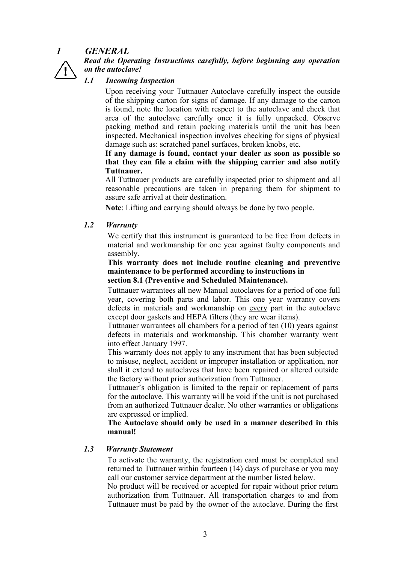

# **GENERAL**

Read the Operating Instructions carefully, before beginning any operation on the autoclave!

#### $1.1$ **Incoming Inspection**

Upon receiving your Tuttnauer Autoclave carefully inspect the outside of the shipping carton for signs of damage. If any damage to the carton is found, note the location with respect to the autoclave and check that area of the autoclave carefully once it is fully unpacked. Observe packing method and retain packing materials until the unit has been inspected. Mechanical inspection involves checking for signs of physical damage such as: scratched panel surfaces, broken knobs, etc.

If any damage is found, contact your dealer as soon as possible so that they can file a claim with the shipping carrier and also notify Tuttnauer.

All Tuttnauer products are carefully inspected prior to shipment and all reasonable precautions are taken in preparing them for shipment to assure safe arrival at their destination

Note: Lifting and carrying should always be done by two people.

#### $12$ **Warranty**

We certify that this instrument is guaranteed to be free from defects in material and workmanship for one year against faulty components and assembly.

This warranty does not include routine cleaning and preventive maintenance to be performed according to instructions in section 8.1 (Preventive and Scheduled Maintenance).

Tuttnauer warrantees all new Manual autoclaves for a period of one full year, covering both parts and labor. This one year warranty covers defects in materials and workmanship on every part in the autoclave except door gaskets and HEPA filters (they are wear items).

Tuttnauer warrantees all chambers for a period of ten (10) years against defects in materials and workmanship. This chamber warranty went into effect January 1997.

This warranty does not apply to any instrument that has been subjected to misuse, neglect, accident or improper installation or application, nor shall it extend to autoclaves that have been repaired or altered outside the factory without prior authorization from Tuttnauer.

Tuttnauer's obligation is limited to the repair or replacement of parts for the autoclave. This warranty will be void if the unit is not purchased from an authorized Tuttnauer dealer. No other warranties or obligations are expressed or implied.

The Autoclave should only be used in a manner described in this manual!

#### $1.3$ **Warranty Statement**

To activate the warranty, the registration card must be completed and returned to Tuttnauer within fourteen (14) days of purchase or you may call our customer service department at the number listed below.

No product will be received or accepted for repair without prior return authorization from Tuttnauer. All transportation charges to and from Tuttnauer must be paid by the owner of the autoclave. During the first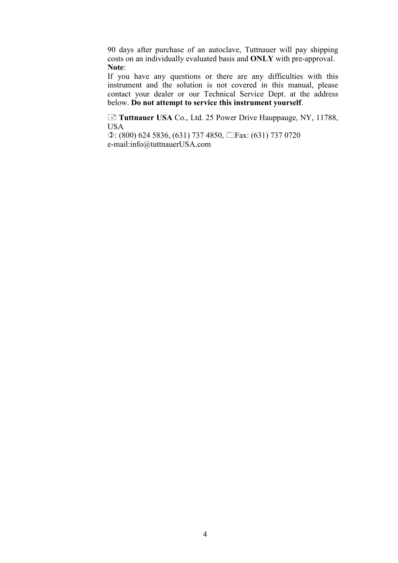90 days after purchase of an autoclave, Tuttnauer will pay shipping costs on an individually evaluated basis and ONLY with pre-approval. Note:

If you have any questions or there are any difficulties with this instrument and the solution is not covered in this manual, please contact your dealer or our Technical Service Dept. at the address below. Do not attempt to service this instrument vourself.

**E** Tuttnauer USA Co., Ltd. 25 Power Drive Hauppauge, NY, 11788, USA

**①:** (800) 624 5836, (631) 737 4850, □Fax: (631) 737 0720 e
mail:info@tuttnauerUSA.com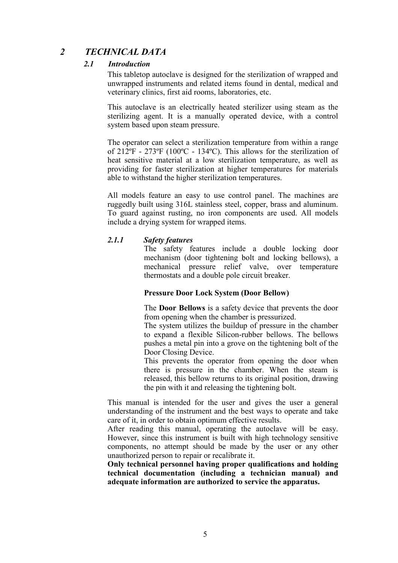#### $\overline{2}$ **TECHNICAL DATA**

#### $2.1$ **Introduction**

This tabletop autoclave is designed for the sterilization of wrapped and unwrapped instruments and related items found in dental, medical and veterinary clinics, first aid rooms, laboratories, etc.

This autoclave is an electrically heated sterilizer using steam as the sterilizing agent. It is a manually operated device, with a control system based upon steam pressure.

The operator can select a sterilization temperature from within a range of  $212^{\circ}F - 273^{\circ}F$  (100°C - 134°C). This allows for the sterilization of heat sensitive material at a low sterilization temperature, as well as providing for faster sterilization at higher temperatures for materials able to withstand the higher sterilization temperatures.

All models feature an easy to use control panel. The machines are ruggedly built using 316L stainless steel, copper, brass and aluminum. To guard against rusting, no iron components are used. All models include a drying system for wrapped items.

#### $2.1.1$ **Safety features**

The safety features include a double locking door mechanism (door tightening bolt and locking bellows), a mechanical pressure relief valve, over temperature thermostats and a double pole circuit breaker.

### **Pressure Door Lock System (Door Bellow)**

The **Door Bellows** is a safety device that prevents the door from opening when the chamber is pressurized.

The system utilizes the buildup of pressure in the chamber to expand a flexible Silicon-rubber bellows. The bellows pushes a metal pin into a grove on the tightening bolt of the Door Closing Device.

This prevents the operator from opening the door when there is pressure in the chamber. When the steam is released, this bellow returns to its original position, drawing the pin with it and releasing the tightening bolt.

This manual is intended for the user and gives the user a general understanding of the instrument and the best ways to operate and take care of it, in order to obtain optimum effective results.

After reading this manual, operating the autoclave will be easy. However, since this instrument is built with high technology sensitive components, no attempt should be made by the user or any other unauthorized person to repair or recalibrate it.

Only technical personnel having proper qualifications and holding technical documentation (including a technician manual) and adequate information are authorized to service the apparatus.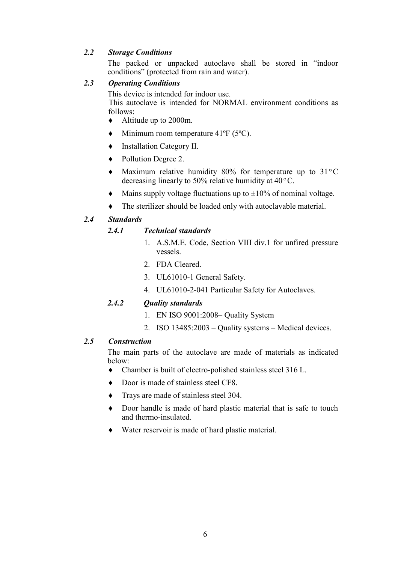# 2.2 Storage Conditions

 The packed or unpacked autoclave shall be stored in "indoor conditions" (protected from rain and water).

# 2.3 Operating Conditions

This device is intended for indoor use.

This autoclave is intended for NORMAL environment conditions as follows:

- $\blacklozenge$  Altitudeup to 2000m.
- $\blacklozenge$  Minimum room temperature 41°F (5°C).
- $\bullet$  Installation Category II.
- ◆ Pollution Degree 2.
- $\blacklozenge$  Maximum relative humidity 80% for temperature up to 31 °C decreasing linearly to 50% relative humidity at  $40^{\circ}$ C.
- $\blacklozenge$  Mains supply voltage fluctuations up to  $\pm 10\%$  of nominal voltage.
- $\bullet$  The sterilizer should be loaded only with autoclavable material.

# 2.4 Standards

# 2.4.1 Technical standards

- 1. A.S.M.E. Code, Section VIII div.1 for unfired pressure vessels.
- 2. FDA Cleared.
- 3. UL61010-1 General Safety.
- 4. UL61010-2-041 Particular Safety for Autoclaves.

# 2.4.2 Ouality standards

- 1. EN ISO 9001:2008– Quality System
- 2. ISO  $13485:2003$  Quality systems Medical devices.

# 2.5 Construction

 The main parts of the autoclave are made of materials as indicated below:

- $\bullet$  Chamber is built of electro-polished stainless steel 316 L.
- Door is made of stainless steel CF8.
- Trays are made of stainless steel 304.
- $\bullet$  Door handle is made of hard plastic material that is safe to touch and thermo-insulated
- $\blacklozenge$  Water reservoir is made of hard plastic material.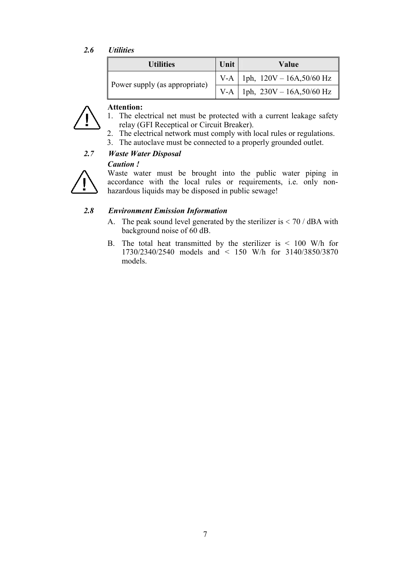# 2.6 Utilities

| <b>Utilities</b>              | Unit | Value                             |
|-------------------------------|------|-----------------------------------|
|                               |      | V-A   1ph, $120V - 16A, 50/60$ Hz |
| Power supply (as appropriate) |      | V-A   1ph, $230V - 16A, 50/60 Hz$ |



#### Attention:

- 1. The electrical net must be protected with a current leakage safety relay (GFI Receptical or Circuit Breaker).
- 2. The electrical network must comply with local rules or regulations.
- 3. The autoclave must be connected to a properly grounded outlet.

# 2.7 Waste Water Disposal

### **Caution!**



 Waste water must be brought into the public water piping in accordance with the local rules or requirements, i.e. only non hazardous liquids may be disposed in public sewage!

# 2.8 Environment Emission Information

- A. The peak sound level generated by the sterilizer is  $< 70$  / dBA with background noise of 60 dB.
- B. The total heat transmitted by the sterilizer is  $\leq 100$  W/h for 1730/2340/2540 models and < 150 W/h for 3140/3850/3870 models.

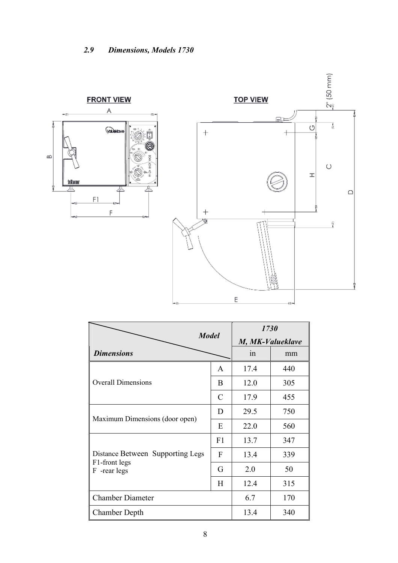

|                                  | 1730          |                  |     |  |  |
|----------------------------------|---------------|------------------|-----|--|--|
| <b>Model</b>                     |               | M, MK-Valueklave |     |  |  |
| <b>Dimensions</b>                |               | 1n               | mm  |  |  |
|                                  | A             | 17.4             | 440 |  |  |
| <b>Overall Dimensions</b>        | B             | 12.0             | 305 |  |  |
|                                  | $\mathcal{C}$ | 17.9             | 455 |  |  |
|                                  | D             | 29.5             | 750 |  |  |
| Maximum Dimensions (door open)   | E             | 22.0             | 560 |  |  |
|                                  | F1            | 13.7             | 347 |  |  |
| Distance Between Supporting Legs | F             | 13.4             | 339 |  |  |
| F1-front legs<br>F -rear legs    | G             | 2.0              | 50  |  |  |
|                                  | H             | 12.4             | 315 |  |  |
| <b>Chamber Diameter</b>          |               | 6.7              | 170 |  |  |
| <b>Chamber Depth</b>             |               | 13.4             | 340 |  |  |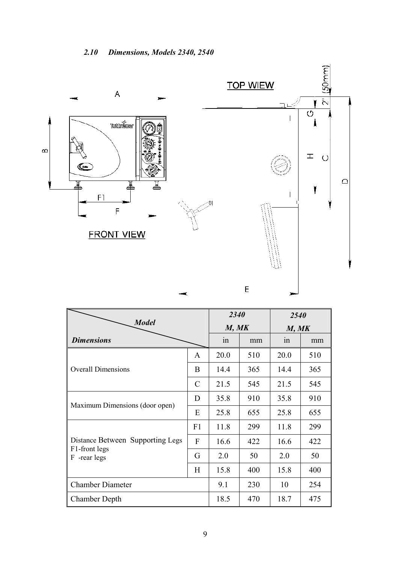

|                                  | 2340           |      | 2540  |      |     |
|----------------------------------|----------------|------|-------|------|-----|
| <b>Model</b>                     | M, MK          |      | M, MK |      |     |
| <b>Dimensions</b>                |                | 1n   | mm    | 1n   | mm  |
|                                  | $\mathbf{A}$   | 20.0 | 510   | 20.0 | 510 |
| <b>Overall Dimensions</b>        | B              | 14.4 | 365   | 14.4 | 365 |
|                                  | $\mathcal{C}$  | 21.5 | 545   | 21.5 | 545 |
| Maximum Dimensions (door open)   | D              | 35.8 | 910   | 35.8 | 910 |
|                                  | E              | 25.8 | 655   | 25.8 | 655 |
|                                  | F1             | 11.8 | 299   | 11.8 | 299 |
| Distance Between Supporting Legs | $\overline{F}$ | 16.6 | 422   | 16.6 | 422 |
| F1-front legs<br>-rear legs<br>F | G              | 2.0  | 50    | 2.0  | 50  |
|                                  |                | 15.8 | 400   | 15.8 | 400 |
| <b>Chamber Diameter</b>          |                | 9.1  | 230   | 10   | 254 |
| <b>Chamber Depth</b>             |                | 18.5 | 470   | 18.7 | 475 |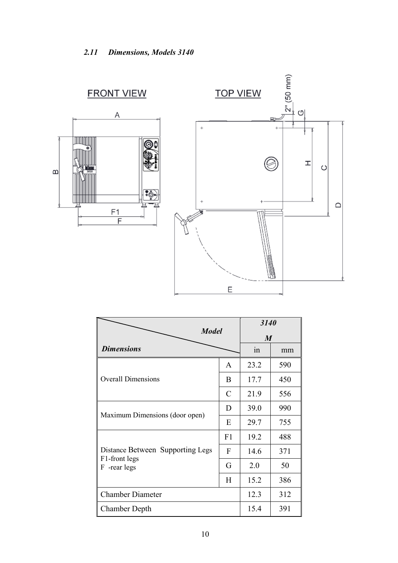

|                                  |    | 3140             |     |
|----------------------------------|----|------------------|-----|
| <b>Model</b>                     |    | $\boldsymbol{M}$ |     |
| <b>Dimensions</b>                |    | in               | mm  |
|                                  | A  | 23.2             | 590 |
| <b>Overall Dimensions</b>        | B  | 17.7             | 450 |
|                                  | C  | 21.9             | 556 |
| Maximum Dimensions (door open)   | D  | 39.0             | 990 |
|                                  | E  | 29.7             | 755 |
|                                  | F1 | 19.2             | 488 |
| Distance Between Supporting Legs | F  | 14.6             | 371 |
| F1-front legs<br>F -rear legs    | G  | 2.0              | 50  |
|                                  | H  | 15.2             | 386 |
| <b>Chamber Diameter</b>          |    | 12.3             | 312 |
| <b>Chamber Depth</b>             |    | 15.4             | 391 |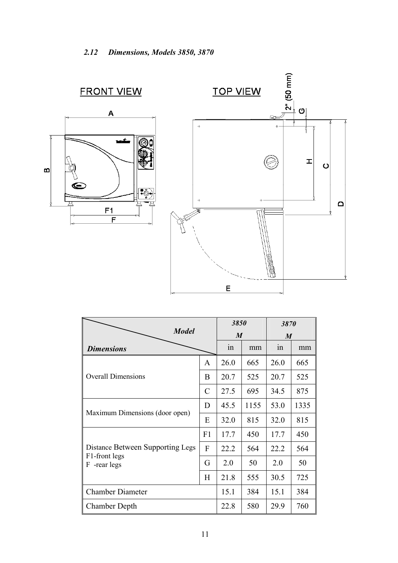![](_page_12_Figure_1.jpeg)

|                                                                      |                  | 3850 |                  | 3870 |      |
|----------------------------------------------------------------------|------------------|------|------------------|------|------|
| <b>Model</b>                                                         | $\boldsymbol{M}$ |      | $\boldsymbol{M}$ |      |      |
| <b>Dimensions</b>                                                    |                  | 1n   | mm               | 1n   | mm   |
| <b>Overall Dimensions</b>                                            |                  | 26.0 | 665              | 26.0 | 665  |
|                                                                      |                  | 20.7 | 525              | 20.7 | 525  |
|                                                                      |                  | 27.5 | 695              | 34.5 | 875  |
| Maximum Dimensions (door open)                                       |                  | 45.5 | 1155             | 53.0 | 1335 |
|                                                                      |                  | 32.0 | 815              | 32.0 | 815  |
|                                                                      | F <sub>1</sub>   | 17.7 | 450              | 17.7 | 450  |
| Distance Between Supporting Legs<br>F1-front legs<br>-rear legs<br>F |                  | 22.2 | 564              | 22.2 | 564  |
|                                                                      |                  | 2.0  | 50               | 2.0  | 50   |
|                                                                      |                  | 21.8 | 555              | 30.5 | 725  |
| <b>Chamber Diameter</b>                                              |                  | 15.1 | 384              | 15.1 | 384  |
| <b>Chamber Depth</b>                                                 |                  | 22.8 | 580              | 29.9 | 760  |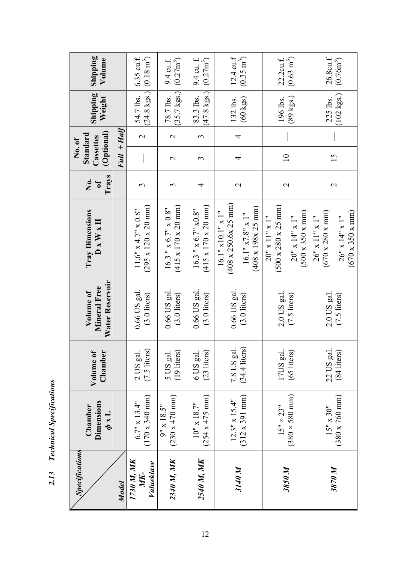| <b>Specifications</b>           |                                                             |                                       |                                              |                                                                                                                                                  |                   | No. of                              |                   |                                    |                                             |
|---------------------------------|-------------------------------------------------------------|---------------------------------------|----------------------------------------------|--------------------------------------------------------------------------------------------------------------------------------------------------|-------------------|-------------------------------------|-------------------|------------------------------------|---------------------------------------------|
|                                 | Dimensions<br>Chamber<br>$\frac{1}{\alpha}$                 | Volume of<br>Chamber                  | Water Reservoir<br>Mineral Free<br>Volume of | <b>Tray Dimensions</b><br>$D \times W \times H$                                                                                                  | Trays<br>Ż.<br>0f | (Optional)<br>Standard<br>Cassettes |                   | Shipping<br>Weight                 | Shipping<br>Volume                          |
| Model                           |                                                             |                                       |                                              |                                                                                                                                                  |                   | $Full + Half$                       |                   |                                    |                                             |
| 1730 M, MK<br>Valueklave<br>MK- | $(170 \times 340 \text{ mm})$<br>$6.7" \times 13.4"$        | 2 US gal.<br>$(7.5$ liters            | 0.66 US gal<br>$(3.0$ liters)                | $(295 \times 120 \times 20 \text{ mm})$<br>$11.6''$ x 4.7" x 0.8"                                                                                | $\mathfrak{c}$    |                                     | $\mathbf{\Omega}$ | $(24.8 \text{ kgs.})$<br>54.7 lbs. | $(0.18 \text{ m}^3)$<br>$6.35$ cu.f.        |
| 2340 M, MK                      | $(230 \times 470 \text{ mm})$<br>$9'' \times 18.5''$        | 5 US gal.<br>$(19$ liters)            | 0.66 US gal<br>$(3.0$ liters)                | $(415 \times 170 \times 20 \text{ mm})$<br>$16.3$ " $\times$ 6.7" $\times$ 0.8"                                                                  | $\mathfrak{c}$    | $\mathbf 2$                         | $\mathbf{\Omega}$ | $(35.7 \text{ kgs.})$<br>78.7 lbs. | $(0.27m^3)$<br>9.4 cu.f.                    |
| 2540 M, MK                      | $(254 \times 475 \text{ mm})$<br>$10^{10} \times 18.7^{11}$ | 6 US gal.<br>(23 liters)              | 0.66 US gal<br>$(3.0$ liters)                | $(415 \times 170 \times 20 \text{ mm})$<br>$16.3$ " $x 6.7$ " $x0.8$ "                                                                           | 4                 | 3                                   | $\epsilon$        | $(47.8 \text{ kgs.})$<br>83.3 lbs. | $(0.27m^3)$<br>$9.4$ cu. f.                 |
| 3140 M                          | $(312 \times 391 \text{ mm})$<br>$12.3'' \times 15.4''$     | $(34.4 \text{ liters})$<br>7.8 US gal | 0.66 US gal<br>$(3.0$ liters)                | $(408 \times 250.6 \times 25 \text{ mm})$<br>$(408 \times 198 \times 25 \text{ mm})$<br>$16.1"$ x10.1" x 1"<br>16.1" x7.8" x 1"                  | 2                 | 4                                   | 4                 | $(60 \text{ kgs})$<br>132 lbs.     | $12.4 \text{ cu.f}$<br>$(0.35 \text{ m}^3)$ |
| 3850 M                          | $(380 \times 580 \text{ mm})$<br>$15" \times 23"$           | 17US gal.<br>(65 liters)              | $2.0$ US gal<br>$(7.5$ liters)               | $(500 \times 280 \times 25 \text{ mm})$<br>$(500 \times 350 \times \text{mm})$<br>$20'' \times 14'' \times 1''$<br>$20'' \times 11'' \times 1''$ | $\mathcal{L}$     | $\equiv$                            |                   | $(89 \text{ kgs.})$<br>196 lbs.    | $(0.63 \text{ m}^3)$<br>22.2cu.f.           |
| 3870 M                          | $(380 \times 760 \text{ mm})$<br>$15" \times 30"$           | 22 US gal<br>(84 liters)              | 2.0 US gal.<br>$(7.5$ liters)                | $(670 \times 350 \times \text{mm})$<br>$(670 \times 280 \times nm)$<br>$26'' \times 11'' \times 1''$<br>$26'' \times 14'' \times 1''$            | $\mathbf{C}$      | 15                                  |                   | $(102 \text{ kgs.})$<br>225 lbs.   | 26.8cu.f<br>$(0.76m^3)$                     |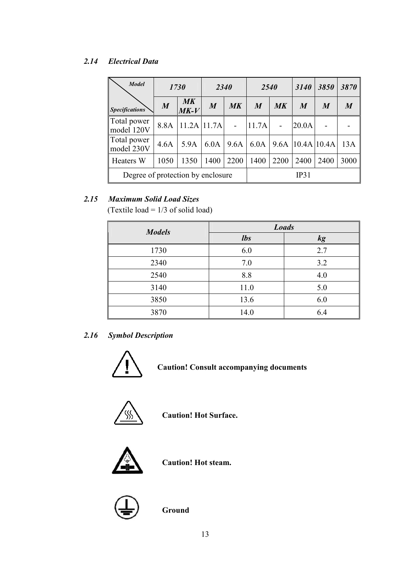# 2.14 Electrical Data

| <b>Model</b>                      |                  | 1730                    | <b>2340</b>      |           | 2540             |               | 3140                   | 3850             | 3870             |
|-----------------------------------|------------------|-------------------------|------------------|-----------|------------------|---------------|------------------------|------------------|------------------|
| <b>Specifications</b>             | $\boldsymbol{M}$ | $M\mathbf{K}$<br>$MK-V$ | $\boldsymbol{M}$ | $M\bar K$ | $\boldsymbol{M}$ | $M\mathbf{K}$ | $\boldsymbol{M}$       | $\boldsymbol{M}$ | $\boldsymbol{M}$ |
| Total power<br>model 120V         | 8.8A             | $11.2A$ 11.7A           |                  |           | 11.7A            |               | 20.0A                  |                  |                  |
| Total power<br>model 230V         | 4.6A             | 5.9A                    | 6.0A             | 9.6A      | 6.0A             |               | $9.6A$   10.4A   10.4A |                  | 13A              |
| <b>Heaters W</b>                  | 1050             | 1350                    | 1400             | 2200      | 1400             | 2200          | 2400                   | 2400             | 3000             |
| Degree of protection by enclosure |                  |                         |                  |           |                  |               | IP31                   |                  |                  |

# 2.15 Maximum Solid Load Sizes

(Textile load =  $1/3$  of solid load)

| <b>Models</b> | <b>Loads</b> |     |
|---------------|--------------|-----|
|               | <i>lbs</i>   | kg  |
| 1730          | 6.0          | 2.7 |
| 2340          | 7.0          | 3.2 |
| 2540          | 8.8          | 4.0 |
| 3140          | 11.0         | 5.0 |
| 3850          | 13.6         | 6.0 |
| 3870          | 14.0         | 6.4 |

# 2.16 Symbol Description

![](_page_14_Picture_6.jpeg)

Caution! Consult accompanying documents

![](_page_14_Picture_8.jpeg)

Caution! Hot Surface.

![](_page_14_Picture_10.jpeg)

Caution! Hot steam.

![](_page_14_Picture_12.jpeg)

**Ground**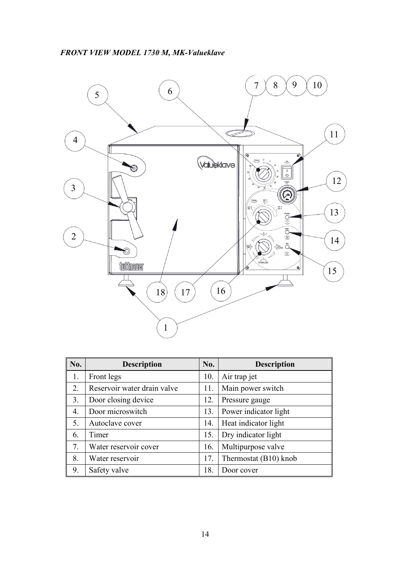![](_page_15_Figure_1.jpeg)

| No. | <b>Description</b>          | No. | <b>Description</b>    |
|-----|-----------------------------|-----|-----------------------|
| 1.  | Front legs                  | 10. | Air trap jet          |
| 2.  | Reservoir water drain valve | 11. | Main power switch     |
| 3.  | Door closing device         | 12. | Pressure gauge        |
| 4.  | Door microswitch            | 13. | Power indicator light |
| 5.  | Autoclave cover             | 14. | Heat indicator light  |
| 6.  | Timer                       | 15. | Dry indicator light   |
| 7.  | Water reservoir cover       | 16. | Multipurpose valve    |
| 8.  | Water reservoir             | 17. | Thermostat (B10) knob |
| 9.  | Safety valve                | 18. | Door cover            |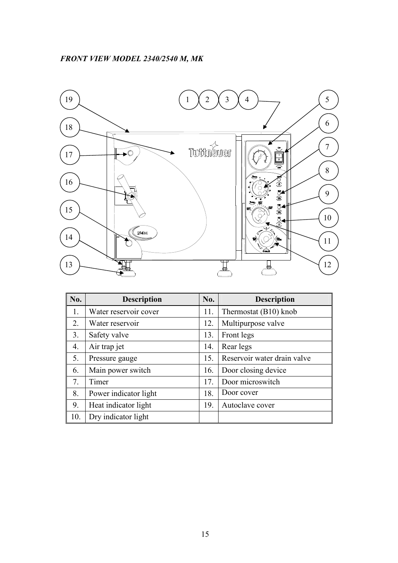![](_page_16_Figure_1.jpeg)

| No. | <b>Description</b>    | No. | <b>Description</b>          |
|-----|-----------------------|-----|-----------------------------|
| 1.  | Water reservoir cover | 11. | Thermostat (B10) knob       |
| 2.  | Water reservoir       | 12. | Multipurpose valve          |
| 3.  | Safety valve          | 13. | Front legs                  |
| 4.  | Air trap jet          | 14. | Rear legs                   |
| 5.  | Pressure gauge        | 15. | Reservoir water drain valve |
| 6.  | Main power switch     | 16. | Door closing device         |
| 7.  | Timer                 | 17. | Door microswitch            |
| 8.  | Power indicator light | 18. | Door cover                  |
| 9.  | Heat indicator light  | 19. | Autoclave cover             |
| 10. | Dry indicator light   |     |                             |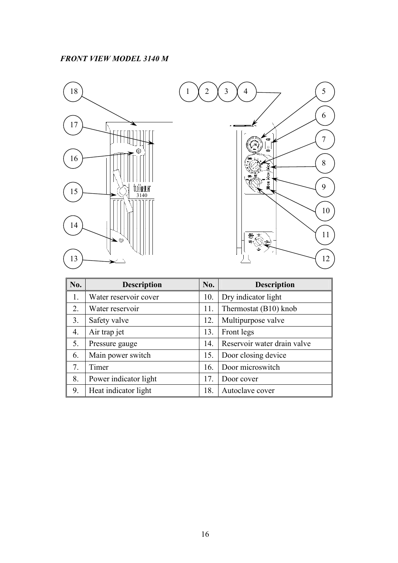![](_page_17_Figure_1.jpeg)

![](_page_17_Figure_2.jpeg)

| No. | <b>Description</b>    | No. | <b>Description</b>          |
|-----|-----------------------|-----|-----------------------------|
| 1.  | Water reservoir cover | 10. | Dry indicator light         |
| 2.  | Water reservoir       | 11. | Thermostat (B10) knob       |
| 3.  | Safety valve          | 12. | Multipurpose valve          |
| 4.  | Air trap jet          | 13. | Front legs                  |
| 5.  | Pressure gauge        | 14. | Reservoir water drain valve |
| 6.  | Main power switch     | 15. | Door closing device         |
| 7.  | Timer                 | 16. | Door microswitch            |
| 8.  | Power indicator light | 17. | Door cover                  |
| 9.  | Heat indicator light  | 18. | Autoclave cover             |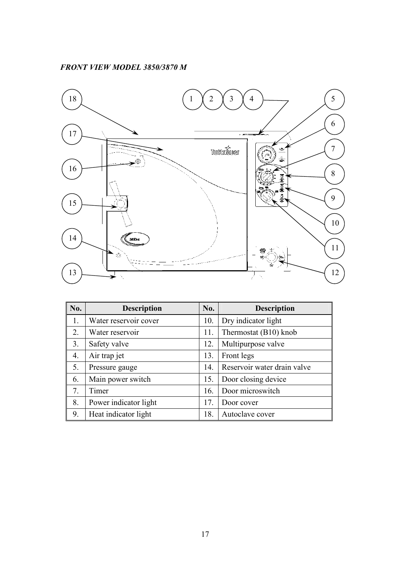# FRONT VIEW MODEL 3850/3870 M

![](_page_18_Figure_1.jpeg)

| <b>No.</b> | <b>Description</b>    | No. | <b>Description</b>          |
|------------|-----------------------|-----|-----------------------------|
| 1.         | Water reservoir cover | 10. | Dry indicator light         |
| 2.         | Water reservoir       | 11. | Thermostat (B10) knob       |
| 3.         | Safety valve          | 12. | Multipurpose valve          |
| 4.         | Air trap jet          | 13. | Front legs                  |
| 5.         | Pressure gauge        | 14. | Reservoir water drain valve |
| 6.         | Main power switch     | 15. | Door closing device         |
| 7.         | Timer                 | 16. | Door microswitch            |
| 8.         | Power indicator light | 17. | Door cover                  |
| 9.         | Heat indicator light  | 18. | Autoclave cover             |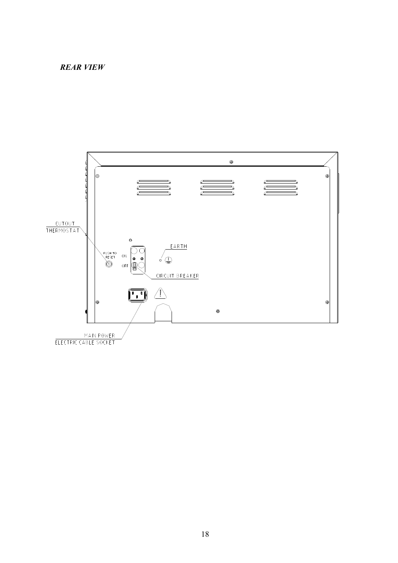### **REAR VIEW**

![](_page_19_Figure_1.jpeg)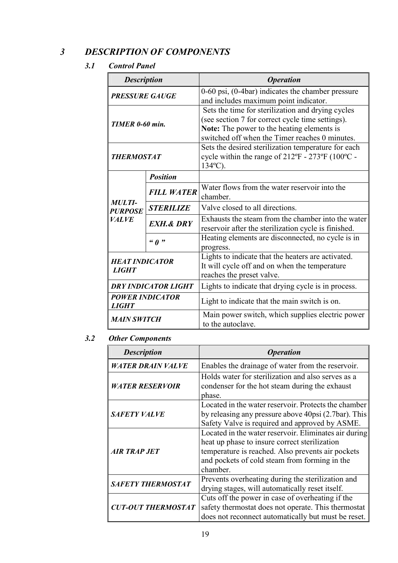# 3 DESCRIPTION OF COMPONENTS

# 3.1 Control Panel

| <b>Description</b>                           |                            | <b>Operation</b>                                                                                                                                                                                             |
|----------------------------------------------|----------------------------|--------------------------------------------------------------------------------------------------------------------------------------------------------------------------------------------------------------|
| <b>PRESSURE GAUGE</b>                        |                            | $0-60$ psi, $(0-4bar)$ indicates the chamber pressure<br>and includes maximum point indicator.                                                                                                               |
| TIMER 0-60 min.                              |                            | Sets the time for sterilization and drying cycles<br>(see section 7 for correct cycle time settings).<br><b>Note:</b> The power to the heating elements is<br>switched off when the Timer reaches 0 minutes. |
| <b>THERMOSTAT</b>                            |                            | Sets the desired sterilization temperature for each<br>cycle within the range of $212^{\circ}F - 273^{\circ}F$ (100°C -<br>$134^{\circ}$ C).                                                                 |
|                                              | <b>Position</b>            |                                                                                                                                                                                                              |
|                                              | <b>FILL WATER</b>          | Water flows from the water reservoir into the<br>chamber.                                                                                                                                                    |
| <b>MULTI-</b><br><b>PURPOSE</b>              | <b>STERILIZE</b>           | Valve closed to all directions.                                                                                                                                                                              |
| <b>VALVE</b>                                 | <b>EXH.&amp; DRY</b>       | Exhausts the steam from the chamber into the water<br>reservoir after the sterilization cycle is finished.                                                                                                   |
|                                              | $\omega$ $\theta$ $\omega$ | Heating elements are disconnected, no cycle is in<br>progress.                                                                                                                                               |
| <b>HEAT INDICATOR</b><br><i><b>LIGHT</b></i> |                            | Lights to indicate that the heaters are activated.<br>It will cycle off and on when the temperature<br>reaches the preset valve.                                                                             |
|                                              | <b>DRY INDICATOR LIGHT</b> | Lights to indicate that drying cycle is in process.                                                                                                                                                          |
| <b>POWER INDICATOR</b><br><i>LIGHT</i>       |                            | Light to indicate that the main switch is on.                                                                                                                                                                |
| <b>MAIN SWITCH</b>                           |                            | Main power switch, which supplies electric power<br>to the autoclave.                                                                                                                                        |

# 3.2 Other Components

| <b>Description</b>        | <i><b>Operation</b></i>                                                                                                                                                                                                  |
|---------------------------|--------------------------------------------------------------------------------------------------------------------------------------------------------------------------------------------------------------------------|
| <b>WATER DRAIN VALVE</b>  | Enables the drainage of water from the reservoir.                                                                                                                                                                        |
| <b>WATER RESERVOIR</b>    | Holds water for sterilization and also serves as a<br>condenser for the hot steam during the exhaust<br>phase.                                                                                                           |
| <b>SAFETY VALVE</b>       | Located in the water reservoir. Protects the chamber<br>by releasing any pressure above 40psi (2.7bar). This<br>Safety Valve is required and approved by ASME.                                                           |
| <b>AIR TRAP JET</b>       | Located in the water reservoir. Eliminates air during<br>heat up phase to insure correct sterilization<br>temperature is reached. Also prevents air pockets<br>and pockets of cold steam from forming in the<br>chamber. |
| <b>SAFETY THERMOSTAT</b>  | Prevents overheating during the sterilization and<br>drying stages, will automatically reset itself.                                                                                                                     |
| <b>CUT-OUT THERMOSTAT</b> | Cuts off the power in case of overheating if the<br>safety thermostat does not operate. This thermostat<br>does not reconnect automatically but must be reset.                                                           |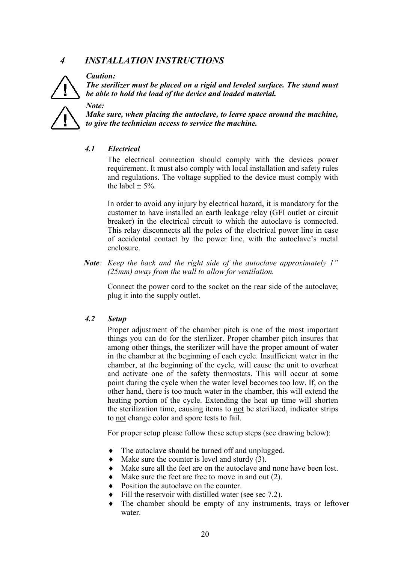# 4 INSTALLATIONINSTRUCTIONS

#### Caution:

Note:

The sterilizer must be placed on a rigid and leveled surface. The stand must be able to hold the load of the device and loaded material.

Make sure, when placing the autoclave, to leave space around the machine, to give the technician access to service the machine.

# 4.1 Electrical

 The electrical connection should comply with the devices power requirement. It must also comply with local installation and safety rules and regulations. The voltage supplied to the device must comply with the label  $\pm$  5%.

In order to avoid any injury by electrical hazard, it is mandatory for the customer to have installed an earth leakage relay (GFI outlet or circuit breaker) in the electrical circuit to which the autoclave is connected. This relay disconnects all the poles of the electrical power line in case of accidental contact by the power line, with the autoclave's metal enclosure.

Note: Keep the back and the right side of the autoclave approximately 1" (25mm) away from the wall to allow for ventilation.

Connect the power cord to the socket on the rear side of the autoclave; plug it into the supply outlet.

### 4.2 Setup

Proper adjustment of the chamber pitch is one of the most important things you can do for the sterilizer. Proper chamber pitch insures that among other things, the sterilizer will have the proper amount of water in the chamber at the beginning of each cycle. Insufficient water in the chamber, at the beginning of the cycle, will cause the unit to overheat and activate one of the safety thermostats. This will occur at some point during the cycle when the water level becomes too low. If, on the other hand, there is too much water in the chamber, this will extend the heating portion of the cycle. Extending the heat up time will shorten the sterilization time, causing items to not be sterilized, indicator strips to not change color and spore tests to fail.

For proper setup please follow these setup steps (see drawing below):

- $\bullet$  The autoclave should be turned off and unplugged.
- Make sure the counter is level and sturdy  $(3)$ .
- Make sure all the feet are on the autoclave and none have been lost.
- Make sure the feet are free to move in and out  $(2)$ .
- Position the autoclave on the counter.
- Fill the reservoir with distilled water (see sec 7.2).
- The chamber should be empty of any instruments, trays or leftover water.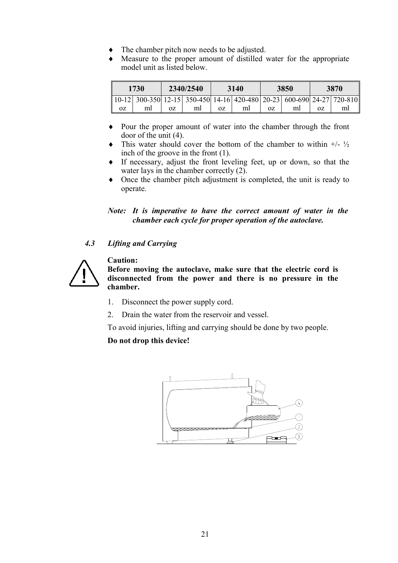- The chamber pitch now needs to be adjusted.
- Measure to the proper amount of distilled water for the appropriate model unit as listed below.

|    | 1730                                                                  | 2340/2540 | 3140 | 3850 | 3870 |
|----|-----------------------------------------------------------------------|-----------|------|------|------|
|    | 10-12 300-350 12-15 350-450 14-16 420-480 20-23 600-690 24-27 720-810 |           |      |      |      |
| 0Z | ml                                                                    |           |      |      |      |

- Pour the proper amount of water into the chamber through the front  $\bullet$ door of the unit  $(4)$ .
- This water should cover the bottom of the chamber to within  $+/ \frac{1}{2}$ inch of the groove in the front  $(1)$ .
- $\bullet$  If necessary, adjust the front leveling feet, up or down, so that the water lays in the chamber correctly  $(2)$ .
- Once the chamber pitch adjustment is completed, the unit is ready to operate.

Note: It is imperative to have the correct amount of water in the chamber each cycle for proper operation of the autoclave.

#### $4.3$ **Lifting and Carrying**

![](_page_22_Picture_9.jpeg)

**Caution:** Before moving the autoclave, make sure that the electric cord is disconnected from the power and there is no pressure in the chamber.

- $1.$ Disconnect the power supply cord.
- $2<sup>1</sup>$ Drain the water from the reservoir and vessel.

To avoid injuries, lifting and carrying should be done by two people.

Do not drop this device!

![](_page_22_Figure_15.jpeg)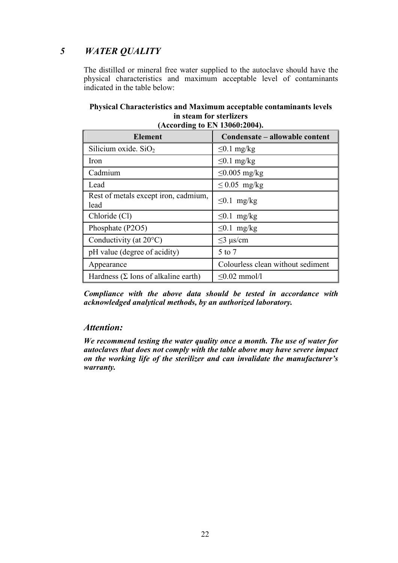**WATER QUALITY**  $\overline{5}$ 

> The distilled or mineral free water supplied to the autoclave should have the physical characteristics and maximum acceptable level of contaminants indicated in the table below:

# Physical Characteristics and Maximum acceptable contaminants levels in steam for sterlizers

| Element                                      | Condensate – allowable content    |
|----------------------------------------------|-----------------------------------|
| Silicium oxide. $SiO2$                       | $\leq 0.1$ mg/kg                  |
| Iron                                         | $\leq 0.1$ mg/kg                  |
| Cadmium                                      | $\leq$ 0.005 mg/kg                |
| Lead                                         | $\leq$ 0.05 mg/kg                 |
| Rest of metals except iron, cadmium,<br>lead | $\leq 0.1$ mg/kg                  |
| Chloride (Cl)                                | $\leq 0.1$ mg/kg                  |
| Phosphate (P2O5)                             | $\leq 0.1$ mg/kg                  |
| Conductivity (at $20^{\circ}$ C)             | $\leq$ 3 µs/cm                    |
| pH value (degree of acidity)                 | 5 to 7                            |
| Appearance                                   | Colourless clean without sediment |
| Hardness $(\Sigma$ Ions of alkaline earth)   | $\leq 0.02$ mmol/l                |

| (According to EN 13060:2004). |  |
|-------------------------------|--|

Compliance with the above data should be tested in accordance with acknowledged analytical methods, by an authorized laboratory.

# Attention:

We recommend testing the water quality once a month. The use of water for autoclaves that does not comply with the table above may have severe impact on the working life of the sterilizer and can invalidate the manufacturer's warranty.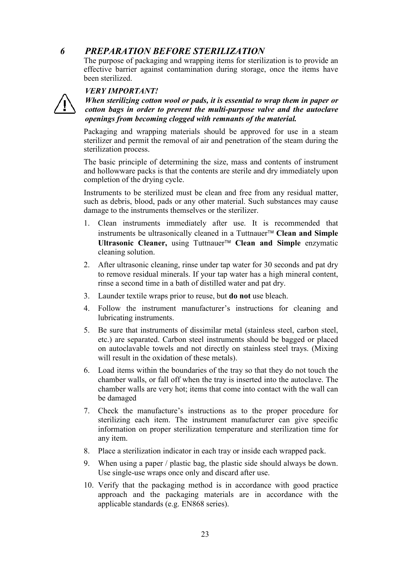# 6 PREPARATION BEFORE STERILIZATION

The purpose of packaging and wrapping items for sterilization is to provide an effective barrier against contamination during storage, once the items have been sterilized

# VERYIMPORTANT!

![](_page_24_Picture_4.jpeg)

When sterilizing cotton wool or pads, it is essential to wrap them in paper or cotton bags in order to prevent the multi=purpose valve and the autoclave openings from becoming clogged with remnants of the material.

 Packaging and wrapping materials should be approved for use in a steam sterilizer and permit the removal of air and penetration of the steam during the sterilization process.

The basic principle of determining the size, mass and contents of instrument and hollowware packs is that the contents are sterile and dry immediately upon completion of the drying cycle.

Instruments to be sterilized must be clean and free from any residual matter, such as debris, blood, pads or any other material. Such substances may cause damage to the instruments themselves or the sterilizer.

- 1. Clean instruments immediately after use. It is recommended that instruments be ultrasonically cleaned in a Tuttnauer<sup>TM</sup> Clean and Simple Ultrasonic Cleaner, using Tuttnauer<sup>TM</sup> Clean and Simple enzymatic cleaning solution.
- 2. After ultrasonic cleaning, rinse under tap water for 30 seconds and pat dry to remove residual minerals. If your tap water has a high mineral content, rinse a second time in a bath of distilled water and pat dry.
- 3. Launder textile wraps prior to reuse, but **do not** use bleach.
- 4. Follow the instrument manufacturer's instructions for cleaning and lubricating instruments.
- 5. Be sure that instruments of dissimilar metal (stainless steel, carbon steel, etc.) are separated. Carbon steel instruments should be bagged or placed on autoclavable towels and not directly on stainless steel trays. (Mixing will result in the oxidation of these metals).
- 6. Load items within the boundaries of the tray so that they do not touch the chamber walls, or fall off when the tray is inserted into the autoclave. The chamber walls are very hot; items that come into contact with the wall can be damaged
- 7. Check the manufacture's instructions as to the proper procedure for sterilizing each item. The instrument manufacturer can give specific information on proper sterilization temperature and sterilization time for any item.
- 8. Place a sterilization indicator in each tray or inside each wrapped pack.
- 9. When using a paper / plastic bag, the plastic side should always be down. Use single-use wraps once only and discard after use.
- 10. Verify that the packaging method is in accordance with good practice approach and the packaging materials are in accordance with the applicable standards (e.g. EN868 series).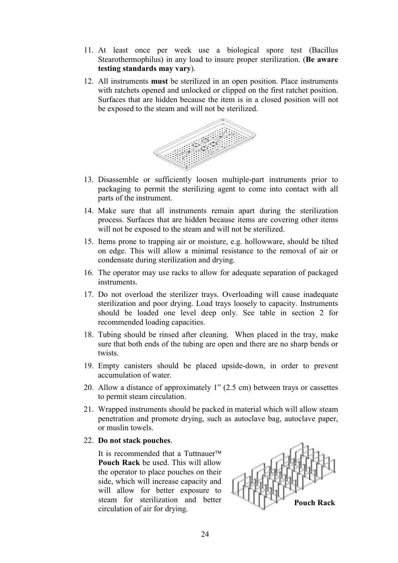- 11. At least once per week use a biological spore test (Bacillus Stearothermophilus) in any load to insure proper sterilization. (Be aware testing standards may vary).
- 12. All instruments **must** be sterilized in an open position. Place instruments with ratchets opened and unlocked or clipped on the first ratchet position. Surfaces that are hidden because the item is in a closed position will not be exposed to the steam and will not be sterilized.

![](_page_25_Figure_2.jpeg)

- 13. Disassemble or sufficiently loosen multiple
part instruments prior to packaging to permit the sterilizing agent to come into contact with all parts of the instrument.
- 14. Make sure that all instruments remain apart during the sterilization process. Surfaces that are hidden because items are covering other items will not be exposed to the steam and will not be sterilized.
- 15. Items prone to trapping air or moisture, e.g. hollowware, should be tilted on edge. This will allow a minimal resistance to the removal of air or condensate during sterilization and drying.
- 16. The operator may use racks to allow for adequate separation of packaged instruments.
- 17. Do not overload the sterilizer trays. Overloading will cause inadequate sterilization and poor drying. Load trays loosely to capacity. Instruments should be loaded one level deep only. See table in section 2 for recommended loading capacities.
- 18. Tubing should be rinsed after cleaning. When placed in the tray, make sure that both ends of the tubing are open and there are no sharp bends or twists.
- 19. Empty canisters should be placed upside
down, in order to prevent accumulation of water.
- 20. Allow a distance of approximately  $1"$  (2.5 cm) between trays or cassettes to permit steam circulation.
- 21. Wrapped instruments should be packed in material which will allow steam penetration and promote drying, such as autoclave bag, autoclave paper, or muslin towels.

#### 22. Do not stack pouches.

It is recommended that a Tuttnauer<sup>TM</sup> Pouch Rack be used. This will allow the operator to place pouches on their side, which will increase capacity and will allow for better exposure to steam for sterilization and better circulation of air for drying.

![](_page_25_Figure_14.jpeg)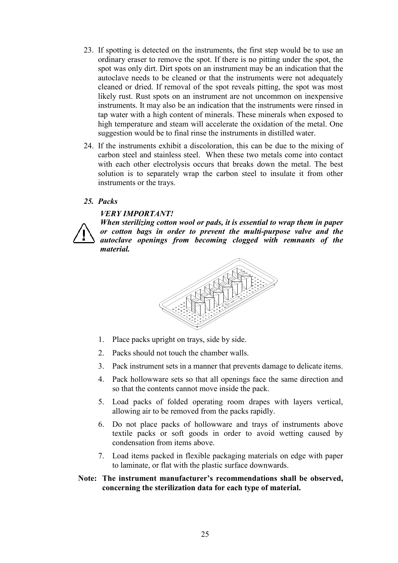- 23. If spotting is detected on the instruments, the first step would be to use an ordinary eraser to remove the spot. If there is no pitting under the spot, the spot was only dirt. Dirt spots on an instrument may be an indication that the autoclave needs to be cleaned or that the instruments were not adequately cleaned or dried. If removal of the spot reveals pitting, the spot was most likely rust. Rust spots on an instrument are not uncommon on inexpensive instruments. It may also be an indication that the instruments were rinsed in tap water with a high content of minerals. These minerals when exposed to high temperature and steam will accelerate the oxidation of the metal. One suggestion would be to final rinse the instruments in distilled water.
- 24. If the instruments exhibit a discoloration, this can be due to the mixing of carbon steel and stainless steel. When these two metals come into contact with each other electrolysis occurs that breaks down the metal. The best solution is to separately wrap the carbon steel to insulate it from other instruments or the trays.

### 25. Packs

#### VERYIMPORTANT!

![](_page_26_Picture_4.jpeg)

When sterilizing cotton wool or pads, it is essential to wrap them in paper or cotton bags in order to prevent the multi=purpose valve and the autoclave openings from becoming clogged with remnants of the material.

![](_page_26_Picture_6.jpeg)

- 1. Place packs upright on trays, side by side.
- 2. Packs should not touch the chamber walls.
- 3. Pack instrument sets in a manner that prevents damage to delicate items.
- 4. Pack hollowware sets so that all openings face the same direction and so that the contents cannot move inside the pack.
- 5. Load packs of folded operating room drapes with layers vertical, allowing air to be removed from the packs rapidly.
- 6. Do not place packs of hollowware and trays of instruments above textile packs or soft goods in order to avoid wetting caused by condensation from items above.
- 7. Load items packed in flexible packaging materials on edge with paper to laminate, or flat with the plastic surface downwards.

# Note: The instrument manufacturer's recommendations shall be observed, concerning the sterilization data for each type of material.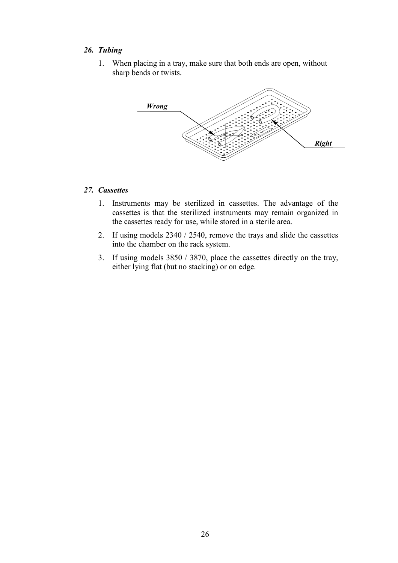# 26. Tubing

1. When placing in a tray, make sure that both ends are open, without sharp bends or twists.

![](_page_27_Figure_2.jpeg)

# 27. Cassettes

- 1. Instruments may be sterilized in cassettes. The advantage of the cassettes is that the sterilized instruments may remain organized in the cassettes ready for use, while stored in a sterile area.
- 2. If using models  $2340 / 2540$ , remove the trays and slide the cassettes into the chamber on the rack system.
- 3. If using models 3850 / 3870, place the cassettes directly on the tray, either lying flat (but no stacking) or on edge.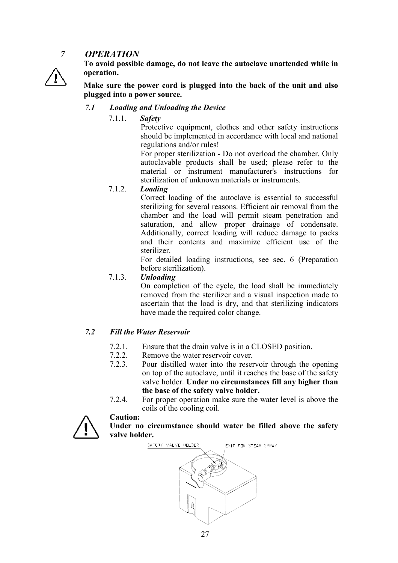# 7 OPERATION

![](_page_28_Picture_1.jpeg)

To avoid possible damage, do not leave the autoclave unattended while in operation.

Make sure the power cord is plugged into the back of the unit and also plugged into a power source.

# 7.1 Loading and Unloading the Device

7.1.1. Safety

 Protective equipment, clothes and other safety instructions should be implemented in accordance with local and national regulations and/or rules!

For proper sterilization - Do not overload the chamber. Only autoclavable products shall be used; please refer to the material or instrument manufacturer's instructions for sterilization of unknown materials or instruments.

# 7.1.2. Loading

 Correct loading of the autoclave is essential to successful sterilizing for several reasons. Efficient air removal from the chamber and the load will permit steam penetration and saturation, and allow proper drainage of condensate. Additionally, correct loading will reduce damage to packs and their contents and maximize efficient use of the sterilizer.

 For detailed loading instructions, see sec. 6 (Preparation before sterilization).

# 7.1.3. Unloading

 On completion of the cycle, the load shall be immediately removed from the sterilizer and a visual inspection made to ascertain that the load is dry, and that sterilizing indicators have made the required color change.

### 7.2 Fill the Water Reservoir

Caution:

- 7.2.1. Ensure that the drain valve is in a CLOSED position.<br>7.2.2 Remove the water reservoir cover
- Remove the water reservoir cover.
- 7.2.3. Pour distilled water into the reservoir through the opening on top of the autoclave, until it reaches the base of the safety valve holder. Under no circumstances fill any higher than the base of the safety valve holder.
- 7.2.4. For proper operation make sure the water level is above the coils of the cooling coil.

![](_page_28_Picture_18.jpeg)

Under no circumstance should water be filled above the safety valve holder.

![](_page_28_Figure_20.jpeg)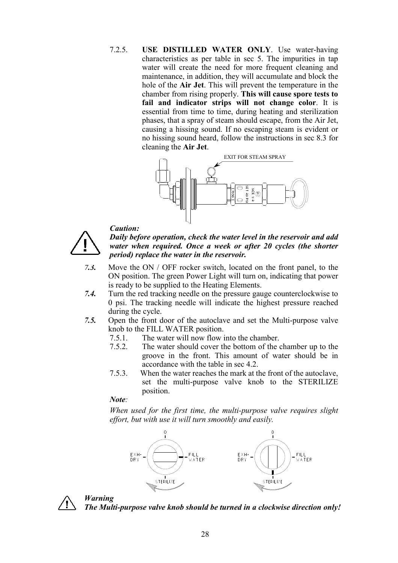Caution:

7.2.5. USE DISTILLED WATER ONLY. Use water-having characteristics as per table in sec 5. The impurities in tap water will create the need for more frequent cleaning and maintenance, in addition, they will accumulate and block the hole of the Air Jet. This will prevent the temperature in the chamber from rising properly. This will cause spore tests to fail and indicator strips will not change color. It is essential from time to time, during heating and sterilization phases, that a spray of steam should escape, from the Air Jet, causing a hissing sound. If no escaping steam is evident or no hissing sound heard, follow the instructions in sec 8.3 for cleaning the Air Jet.

![](_page_29_Figure_2.jpeg)

![](_page_29_Picture_3.jpeg)

Daily before operation, check the water level in the reservoir and add water when required. Once a week or after 20 cycles (the shorter period) replace the water in the reservoir.

- 7.3. Move the ON / OFF rocker switch, located on the front panel, to the ON position. The green Power Light will turn on, indicating that power is ready to be supplied to the Heating Elements.
- 7.4. Turn the red tracking needle on the pressure gauge counterclockwise to 0 psi. The tracking needle will indicate the highest pressure reached during the cycle.
- 7.5. Open the front door of the autoclave and set the Multi-purpose valve knob to the FILL WATER position.
	- 7.5.1. The water will now flow into the chamber.
	- 7.5.2. The water should cover the bottom of the chamber up to the groove in the front. This amount of water should be in accordance with the table in sec 4.2.
	- 7.5.3. When the water reaches the mark at the front of the autoclave, set the multi
	purpose valve knob to the STERILIZE position.

Note:

When used for the first time, the multi-purpose valve requires slight effort, but with use it will turn smoothly and easily.

![](_page_29_Figure_13.jpeg)

![](_page_29_Picture_14.jpeg)

Warning

The Multi-purpose valve knob should be turned in a clockwise direction only!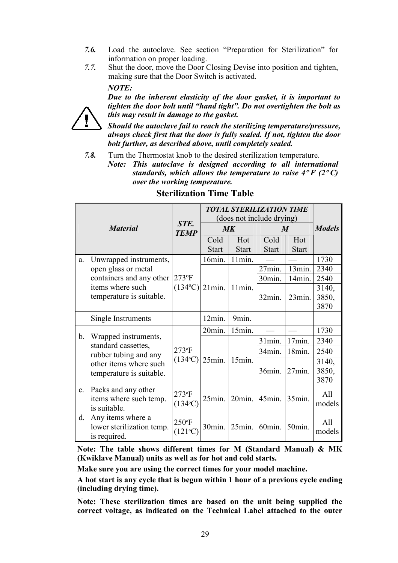- $7.6.$ Load the autoclave. See section "Preparation for Sterilization" for information on proper loading.
- Shut the door, move the Door Closing Devise into position and tighten,  $7.7.$ making sure that the Door Switch is activated.

# $NOTE:$

![](_page_30_Picture_3.jpeg)

Due to the inherent elasticity of the door gasket, it is important to tighten the door bolt until "hand tight". Do not overtighten the bolt as this may result in damage to the gasket.

Should the autoclave fail to reach the sterilizing temperature/pressure, always check first that the door is fully sealed. If not, tighten the door bolt further, as described above, until completely sealed.

Turn the Thermostat knob to the desired sterilization temperature.  $7.8.$ 

Note: This autoclave is designed according to all international standards, which allows the temperature to raise  $4^{\circ}F(2^{\circ}C)$ over the working temperature.

|                |                                                                | STE.                 |              |               | <b>TOTAL STERILIZATION TIME</b><br>(does not include drying) |                    |                           |
|----------------|----------------------------------------------------------------|----------------------|--------------|---------------|--------------------------------------------------------------|--------------------|---------------------------|
|                | <b>Material</b>                                                | <b>TEMP</b>          |              | $M\mathbf{K}$ | M                                                            |                    | <b>Models</b>             |
|                |                                                                |                      | Cold         | Hot           | Cold                                                         | Hot                |                           |
|                |                                                                |                      | <b>Start</b> | <b>Start</b>  | <b>Start</b>                                                 | <b>Start</b>       |                           |
| a.             | Unwrapped instruments,                                         |                      | $16min$ .    | $11min$ .     |                                                              |                    | 1730                      |
|                | open glass or metal                                            |                      |              |               | $27$ min.                                                    | 13min.             | 2340                      |
|                | containers and any other                                       | $273$ °F             |              |               | 30min.                                                       | 14min.             | 2540                      |
|                | items where such                                               | $(134^{\circ}C)$     | $21$ min.    | 11min.        |                                                              |                    | 3140,                     |
|                | temperature is suitable.                                       |                      |              |               | $32$ min.                                                    | $23$ min.          | 3850,                     |
|                |                                                                |                      |              |               |                                                              |                    | 3870                      |
|                | Single Instruments                                             |                      | 12min.       | 9min.         |                                                              |                    |                           |
|                |                                                                |                      | 20min.       | 15min.        |                                                              |                    | 1730                      |
| b.             | Wrapped instruments,<br>standard cassettes,                    |                      |              |               | 31min.                                                       | 17min.             | 2340                      |
|                | rubber tubing and any                                          | $273$ <sup>o</sup> F |              |               | $34$ min.                                                    | 18min.             | 2540                      |
|                | other items where such                                         | $(134^{\circ}C)$     | 25min.       | 15min.        |                                                              |                    | 3140,                     |
|                | temperature is suitable.                                       |                      |              |               | 36min.                                                       | $27$ min.          | 3850,                     |
|                |                                                                |                      |              |               |                                                              |                    | 3870                      |
| $\mathbf{c}$ . | Packs and any other                                            | $273$ °F             |              |               |                                                              |                    | A11                       |
|                | items where such temp.                                         | $(134^{\circ}C)$     | $25$ min.    | 20min.        | $45$ min.                                                    | 35min.             | models                    |
|                | is suitable.                                                   |                      |              |               |                                                              |                    |                           |
| d.             | Any items where a<br>lower sterilization temp.<br>is required. | $250$ °F<br>(121°C)  | 30min.       | $25$ min.     | 60min.                                                       | 50 <sub>min.</sub> | A <sup>11</sup><br>models |

# **Sterilization Time Table**

Note: The table shows different times for M (Standard Manual) & MK (Kwiklave Manual) units as well as for hot and cold starts.

Make sure you are using the correct times for your model machine.

A hot start is any cycle that is begun within 1 hour of a previous cycle ending (including drying time).

Note: These sterilization times are based on the unit being supplied the correct voltage, as indicated on the Technical Label attached to the outer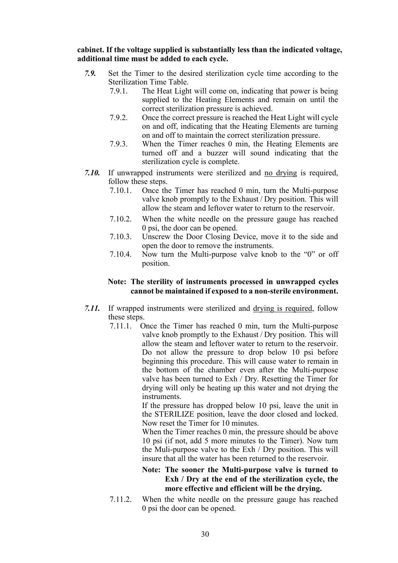### cabinet. If the voltage supplied is substantially less than the indicated voltage, additional time must be added to each cycle.

- 7.9. Set the Timer to the desired sterilization cycle time according to the Sterilization Time Table.
	- 7.9.1. The Heat Light will come on, indicating that power is being supplied to the Heating Elements and remain on until the correct sterilization pressure is achieved.
	- 7.9.2. Once the correct pressure is reached the Heat Light will cycle on and off, indicating that the Heating Elements are turning on and off to maintain the correct sterilization pressure.
	- 7.9.3. When the Timer reaches 0 min, the Heating Elements are turned off and a buzzer will sound indicating that the sterilization cycle is complete.
- 7.10. If unwrapped instruments were sterilized and no drying is required, follow these steps.
	- 7.10.1. Once the Timer has reached 0 min, turn the Multi-purpose valve knob promptly to the Exhaust / Dry position. This will allow the steam and leftover water to return to the reservoir.
	- 7.10.2. When the white needle on the pressure gauge has reached 0 psi, the door can be opened.
	- 7.10.3. Unscrew the Door Closing Device, move it to the side and open the door to remove the instruments.
	- 7.10.4. Now turn the Multi
	purpose valve knob to the "0" or off position.

# Note: The sterility of instruments processed in unwrapped cycles cannot be maintained if exposed to a non-sterile environment.

- 7.11. If wrapped instruments were sterilized and drying is required, follow these steps.
	- 7.11.1. Once the Timer has reached 0 min, turn the Multi
	purpose valve knob promptly to the Exhaust / Dry position. This will allow the steam and leftover water to return to the reservoir. Do not allow the pressure to drop below 10 psi before beginning this procedure. This will cause water to remain in the bottom of the chamber even after the Multi
	purpose valve has been turned to Exh / Dry. Resetting the Timer for drying will only be heating up this water and not drying the instruments.

If the pressure has dropped below 10 psi, leave the unit in the STERILIZE position, leave the door closed and locked. Now reset the Timer for 10 minutes.

When the Timer reaches  $0$  min, the pressure should be above 10 psi (if not, add 5 more minutes to the Timer). Now turn the Muli-purpose valve to the Exh / Dry position. This will insure that all the water has been returned to the reservoir.

# Note: The sooner the Multi-purpose valve is turned to  $Exh / Drv$  at the end of the sterilization cycle, the more effective and efficient will be the drying.

7.11.2. When the white needle on the pressure gauge has reached 0 psi the door can be opened.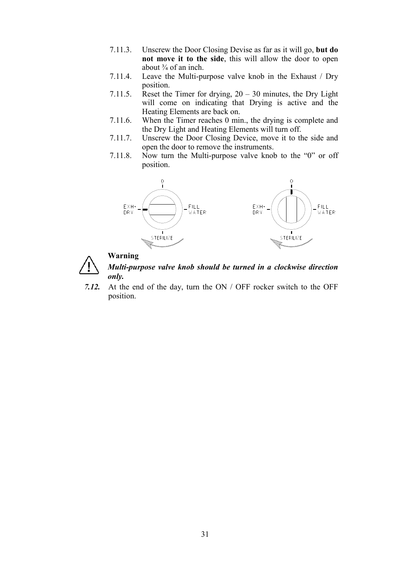- 7.11.3. Unscrew the Door Closing Devise as far as it will go, but do not move it to the side, this will allow the door to open about  $\frac{3}{4}$  of an inch.
- 7.11.4. Leave the Multi
purpose valve knob in the Exhaust / Dry position.
- 7.11.5. Reset the Timer for drying,  $20-30$  minutes, the Dry Light will come on indicating that Drying is active and the Heating Elements are back on.
- 7.11.6. When the Timer reaches 0 min., the drying is complete and the Dry Light and Heating Elements will turn off.
- 7.11.7. Unscrew the Door Closing Device, move it to the side and open the door to remove the instruments.
- 7.11.8. Now turn the Multi
purpose valve knob to the "0" or off position.

![](_page_32_Figure_6.jpeg)

![](_page_32_Picture_7.jpeg)

Multi-purpose valve knob should be turned in a clockwise direction only.

7.12. At the end of the day, turn the ON / OFF rocker switch to the OFF position.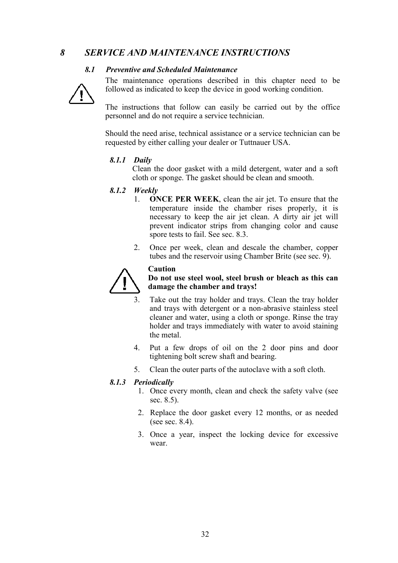# 8 SERVICE AND MAINTENANCE INSTRUCTIONS

# 8.1 Preventive and Scheduled Maintenance

![](_page_33_Picture_3.jpeg)

 The maintenance operations described in this chapter need to be followed as indicated to keep the device in good working condition.

 The instructions that follow can easily be carried out by the office personnel and do not require a service technician.

Should the need arise, technical assistance or a service technician can be requested by either calling your dealer or Tuttnauer USA.

#### 8.1.1 Daily

Clean the door gasket with a mild detergent, water and a soft cloth or sponge. The gasket should be clean and smooth.

#### 8.1.2 Weekly

- 1. **ONCE PER WEEK**, clean the air jet. To ensure that the temperature inside the chamber rises properly, it is necessary to keep the air jet clean. A dirty air jet will prevent indicator strips from changing color and cause spore tests to fail. See sec. 8.3.
- 2. Once per week, clean and descale the chamber, copper tubes and the reservoir using Chamber Brite (see sec. 9).

![](_page_33_Picture_12.jpeg)

Caution

# Do not use steel wool, steel brush or bleach as this can damage the chamber and trays!

- Take out the tray holder and trays. Clean the tray holder and trays with detergent or a non-abrasive stainless steel cleaner and water, using a cloth or sponge. Rinse the tray holder and trays immediately with water to avoid staining the metal
- 4. Put a few drops of oil on the 2 door pins and door tightening bolt screw shaft and bearing.
- 5. Clean the outer parts of the autoclave with a soft cloth.

#### 8.1.3 Periodically

- 1. Once every month, clean and check the safety valve (see sec.8.5).
- 2. Replace the door gasket every 12 months, or as needed (see sec.  $8.4$ ).
- 3. Once a year, inspect the locking device for excessive wear.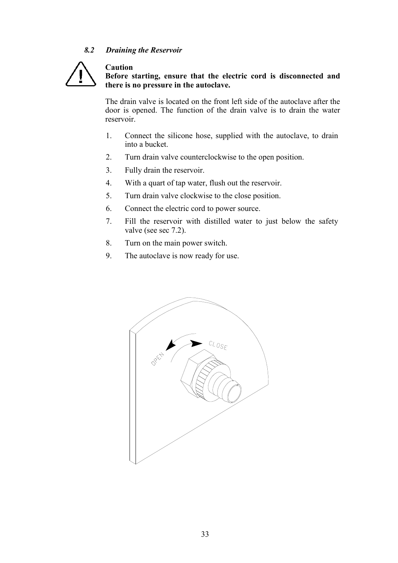# 8.2 Draining the Reservoir

Caution

![](_page_34_Picture_1.jpeg)

# Before starting, ensure that the electric cord is disconnected and there is no pressure in the autoclave.

The drain valve is located on the front left side of the autoclave after the door is opened. The function of the drain valve is to drain the water reservoir.

- 1. Connect the silicone hose, supplied with the autoclave, to drain into a bucket.
- 2. Turn drain valve counterclockwise to the open position.
- 3. Fully drain the reservoir.
- 4. With a quart of tap water, flush out the reservoir.
- 5. Turn drain valve clockwise to the close position.
- 6. Connect the electric cord to power source.
- 7. Fill the reservoir with distilled water to just below the safety valve (see sec 7.2).
- 8. Turn on the main power switch.
- 9. The autoclave is now ready for use.

![](_page_34_Picture_13.jpeg)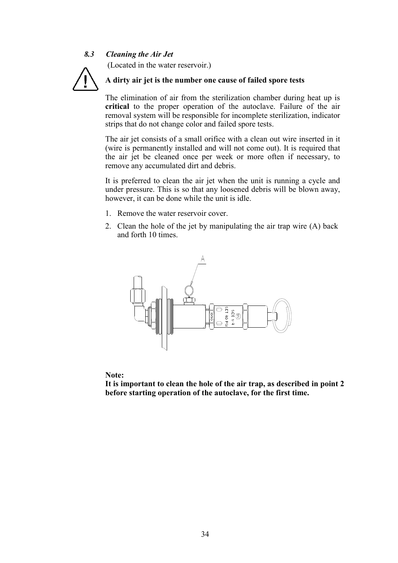#### 8.3 **Cleaning the Air Jet**

(Located in the water reservoir.)

![](_page_35_Picture_2.jpeg)

# A dirty air jet is the number one cause of failed spore tests

The elimination of air from the sterilization chamber during heat up is critical to the proper operation of the autoclave. Failure of the air removal system will be responsible for incomplete sterilization, indicator strips that do not change color and failed spore tests.

The air jet consists of a small orifice with a clean out wire inserted in it (wire is permanently installed and will not come out). It is required that the air jet be cleaned once per week or more often if necessary, to remove any accumulated dirt and debris.

It is preferred to clean the air jet when the unit is running a cycle and under pressure. This is so that any loosened debris will be blown away, however, it can be done while the unit is idle.

- 1. Remove the water reservoir cover.
- 2. Clean the hole of the jet by manipulating the air trap wire (A) back and forth 10 times.

![](_page_35_Figure_9.jpeg)

Note:

It is important to clean the hole of the air trap, as described in point 2 before starting operation of the autoclave, for the first time.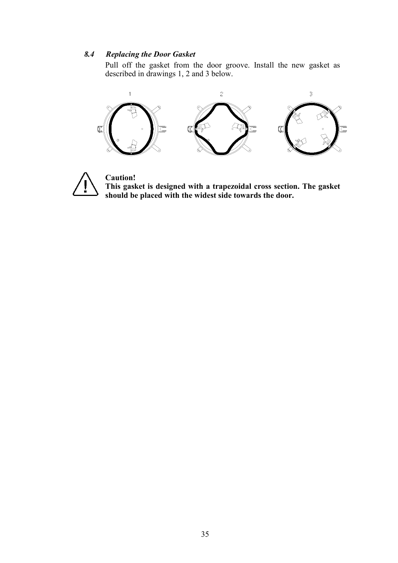#### 8.4 **Replacing the Door Gasket**

Pull off the gasket from the door groove. Install the new gasket as described in drawings 1, 2 and 3 below.

![](_page_36_Figure_2.jpeg)

![](_page_36_Picture_3.jpeg)

**Caution!** This gasket is designed with a trapezoidal cross section. The gasket should be placed with the widest side towards the door.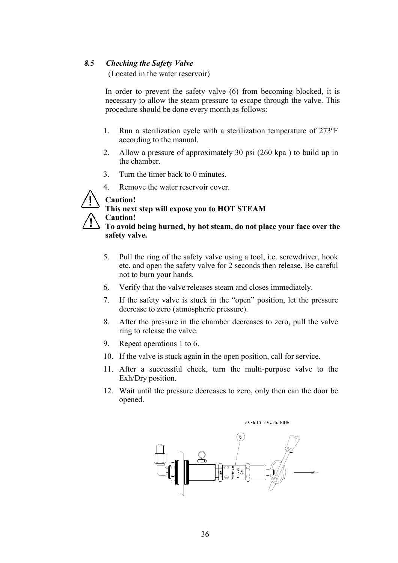#### 8.5 **Checking the Safety Valve**

(Located in the water reservoir)

In order to prevent the safety valve (6) from becoming blocked, it is necessary to allow the steam pressure to escape through the valve. This procedure should be done every month as follows:

- $1<sup>1</sup>$ Run a sterilization cycle with a sterilization temperature of 273°F according to the manual.
- Allow a pressure of approximately 30 psi (260 kpa) to build up in 2. the chamber.
- $3<sub>1</sub>$ Turn the timer back to 0 minutes.
- $\overline{4}$ Remove the water reservoir cover.

![](_page_37_Picture_7.jpeg)

### This next step will expose you to HOT STEAM **Caution!**

To avoid being burned, by hot steam, do not place your face over the safety valve.

- 5. Pull the ring of the safety valve using a tool, i.e. screwdriver, hook etc. and open the safety valve for 2 seconds then release. Be careful not to burn your hands.
- 6. Verify that the valve releases steam and closes immediately.
- $7<sup>1</sup>$ If the safety valve is stuck in the "open" position, let the pressure decrease to zero (atmospheric pressure).
- 8. After the pressure in the chamber decreases to zero, pull the valve ring to release the valve.
- 9 Repeat operations 1 to 6.
- 10. If the valve is stuck again in the open position, call for service.
- 11. After a successful check, turn the multi-purpose valve to the Exh/Dry position.
- 12. Wait until the pressure decreases to zero, only then can the door be opened.

SAFETY VALVE RING

![](_page_37_Figure_19.jpeg)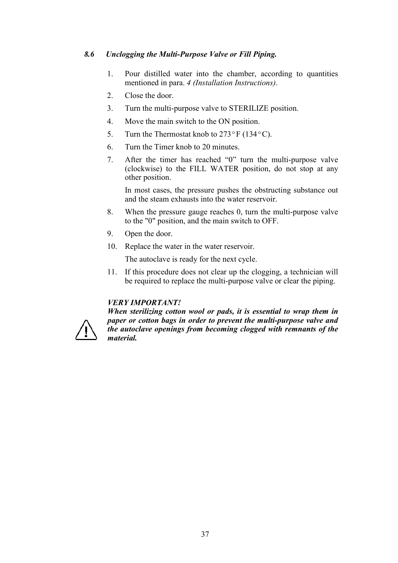#### 8.6 Unclogging the Multi-Purpose Valve or Fill Piping.

- Pour distilled water into the chamber, according to quantities  $1.$ mentioned in para. 4 (Installation Instructions).
- $\overline{2}$ Close the door.
- $3<sub>1</sub>$ Turn the multi-purpose valve to STERILIZE position.
- $\overline{4}$ . Move the main switch to the ON position.
- 5. Turn the Thermostat knob to  $273^{\circ}$  F (134°C).
- Turn the Timer knob to 20 minutes 6
- After the timer has reached "0" turn the multi-purpose valve  $7<sup>7</sup>$ (clockwise) to the FILL WATER position, do not stop at any other position.

In most cases, the pressure pushes the obstructing substance out and the steam exhausts into the water reservoir

- 8. When the pressure gauge reaches 0, turn the multi-purpose valve to the "0" position, and the main switch to OFF.
- $9<sub>1</sub>$ Open the door.
- 10. Replace the water in the water reservoir.

The autoclave is ready for the next cycle.

If this procedure does not clear up the clogging, a technician will 11. be required to replace the multi-purpose valve or clear the piping.

# **VERY IMPORTANT!**

![](_page_38_Picture_15.jpeg)

When sterilizing cotton wool or pads, it is essential to wrap them in paper or cotton bags in order to prevent the multi-purpose valve and the autoclave openings from becoming clogged with remnants of the *material.*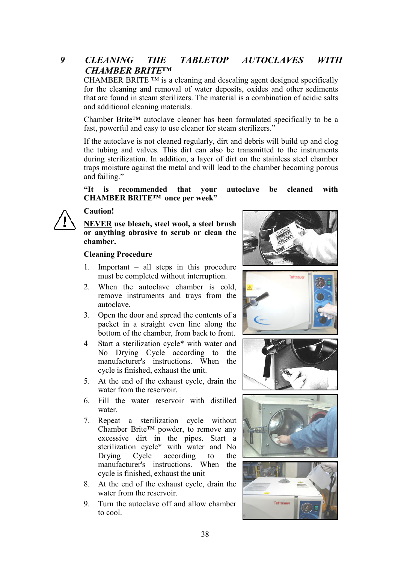#### $\boldsymbol{q}$ **CLEANING TABLETOP** *AUTOCLAVES* **THE WITH CHAMBER BRITETM**

CHAMBER BRITE TM is a cleaning and descaling agent designed specifically for the cleaning and removal of water deposits, oxides and other sediments that are found in steam sterilizers. The material is a combination of acidic salts and additional cleaning materials.

Chamber Brite<sup>TM</sup> autoclave cleaner has been formulated specifically to be a fast, powerful and easy to use cleaner for steam sterilizers."

If the autoclave is not cleaned regularly, dirt and debris will build up and clog the tubing and valves. This dirt can also be transmitted to the instruments during sterilization. In addition, a layer of dirt on the stainless steel chamber traps moisture against the metal and will lead to the chamber becoming porous and failing."

#### vour  $\mathbf{H}$  is recommended that autoclave be cleaned with CHAMBER BRITE™ once per week"

![](_page_39_Picture_5.jpeg)

### Caution!

# NEVER use bleach, steel wool, a steel brush or anything abrasive to scrub or clean the chamber.

# **Cleaning Procedure**

- Important  $-$  all steps in this procedure  $1<sup>1</sup>$ must be completed without interruption.
- When the autoclave chamber is cold,  $\overline{2}$ remove instruments and trays from the autoclave.
- $3<sub>1</sub>$ Open the door and spread the contents of a packet in a straight even line along the bottom of the chamber, from back to front.
- $\overline{4}$ Start a sterilization cycle\* with water and No Drying Cycle according to the manufacturer's instructions. When the cycle is finished, exhaust the unit.
- 5. At the end of the exhaust cycle, drain the water from the reservoir.
- 6. Fill the water reservoir with distilled water
- Repeat a sterilization cycle without  $7<sub>1</sub>$ Chamber Brite<sup>TM</sup> powder, to remove any excessive dirt in the pipes. Start a sterilization cycle\* with water and No Drying Cycle according to the manufacturer's instructions. When the cycle is finished, exhaust the unit
- 8. At the end of the exhaust cycle, drain the water from the reservoir.
- Turn the autoclave off and allow chamber 9 to cool.

![](_page_39_Picture_18.jpeg)

![](_page_39_Picture_19.jpeg)

![](_page_39_Picture_20.jpeg)

![](_page_39_Picture_21.jpeg)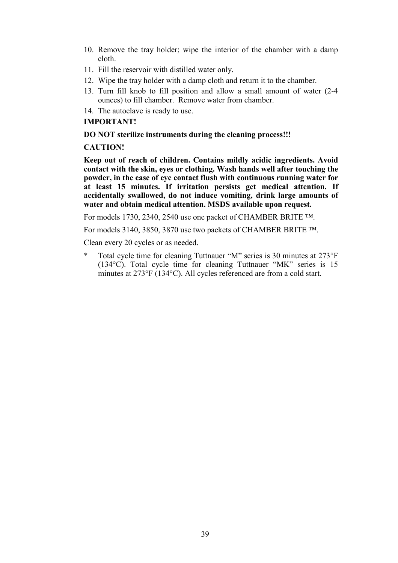- 10. Remove the tray holder; wipe the interior of the chamber with a damp cloth.
- 11. Fill the reservoir with distilled water only.
- 12. Wipe the tray holder with a damp cloth and return it to the chamber.
- 13. Turn fill knob to fill position and allow a small amount of water (2
4 ounces) to fill chamber. Remove water from chamber.
- 14. The autoclave is ready to use.

# **IMPORTANT!**

### DO NOT sterilize instruments during the cleaning process!!!

# **CAUTION!**

Keep out of reach of children. Contains mildly acidic ingredients. Avoid contact with the skin, eyes or clothing. Wash hands well after touching the powder, in the case of eye contact flush with continuous running water for at least 15 minutes. If irritation persists get medical attention. If accidentally swallowed, do not induce vomiting, drink large amounts of water and obtain medical attention. MSDS available upon request.

For models 1730, 2340, 2540 use one packet of CHAMBER BRITE ™.

For models 3140, 3850, 3870 use two packets of CHAMBER BRITE ™.

Clean every 20 cycles or as needed.

\* Total cycle time for cleaning Tuttnauer "M" series is 30 minutes at 273°F (134°C). Total cycle time for cleaning Tuttnauer "MK" series is 15 minutes at 273°F (134°C). All cycles referenced are from a cold start.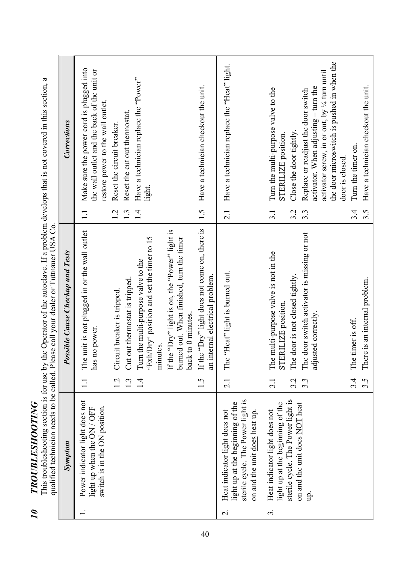| Ĩ.                         |
|----------------------------|
|                            |
|                            |
|                            |
|                            |
|                            |
|                            |
|                            |
| くくしょくしょ                    |
|                            |
| י<br>י                     |
|                            |
| $\left(\frac{1}{2}\right)$ |
| $\mathbf \zeta$            |
| ٦                          |
| f                          |
|                            |
|                            |
|                            |
|                            |
| ١                          |

This troubleshooting section is for use by the Operator of the autoclave. If a problem develops that is not covered in this section, a<br>qualified technician needs to be called. Please call your dealer or Tuttnauer USA Co.

|                          | Symptom                                                                                                                                 | Possible Cause Checkup and Tests                                                                                                                  |                  | Corrections                                                                                                                                                                                              |
|--------------------------|-----------------------------------------------------------------------------------------------------------------------------------------|---------------------------------------------------------------------------------------------------------------------------------------------------|------------------|----------------------------------------------------------------------------------------------------------------------------------------------------------------------------------------------------------|
|                          | Power indicator light does not<br>switch is in the ON position.<br>light up when the ON / OFF                                           | The unit is not plugged in or the wall outlet<br>no power.<br>has 1                                                                               | $\Box$           | Make sure the power cord is plugged into<br>the wall outlet and the back of the unit or<br>restore power to the wall outlet.                                                                             |
|                          |                                                                                                                                         | Circuit breaker is tripped<br>1.2<br>$\cdot$                                                                                                      | 1.2<br>1.3       | Reset the cut out thermostat.<br>Reset the circuit breaker.                                                                                                                                              |
|                          |                                                                                                                                         | "Exh/Dry" position and set the timer to 15<br>Turn the multi-purpose valve to the<br>Cut out thermostat is tripped.<br>minutes.<br>$\overline{1}$ | 1.4              | Have a technician replace the "Power"<br>light.                                                                                                                                                          |
|                          |                                                                                                                                         | If the "Dry" light is on, the "Power" light is<br>burned out. When finished, turn the timer<br>back to 0 minutes.                                 |                  |                                                                                                                                                                                                          |
|                          |                                                                                                                                         | If the "Dry" light does not come on, there is<br>an internal electrical problem.<br>1.5                                                           | 1.5              | Have a technician checkout the unit.                                                                                                                                                                     |
| $\overline{\mathcal{C}}$ | sterile cycle. The Power light is<br>light up at the beginning of the<br>Heat indicator light does not<br>on and the unit does heat up. | The "Heat" light is burned out.<br>2.1                                                                                                            | 2.1              | Have a technician replace the "Heat" light.                                                                                                                                                              |
| $\dot{3}$                | sterile cycle. The Power light is<br>light up at the beginning of the<br>Heat indicator light does not                                  | multi-purpose valve is not in the<br>The door is not closed tightly.<br>STERILIZE position.<br>The<br>3.2<br>$\overline{3}$ .                     | 3.2<br>3.1       | Turn the multi-purpose valve to the<br>Close the door tightly.<br>STERILIZE position.                                                                                                                    |
|                          | on and the unit does NOT heat<br>qu                                                                                                     | The door switch activator is missing or not<br>sted correctly.<br>adju<br>$3.\overline{3}$                                                        | $3.\overline{3}$ | the door microswitch is pushed in when the<br>activator screw, in or out, by <sup>1/4</sup> turn until<br>activator. When adjusting - turn the<br>Replace or readjust the door switch<br>door is closed. |
|                          |                                                                                                                                         | timer is off.<br>The<br>3.4                                                                                                                       | 3.4              | Turn the timer on.                                                                                                                                                                                       |
|                          |                                                                                                                                         | There is an internal problem.<br>$3.\overline{5}$                                                                                                 | $3.\overline{5}$ | Have a technician checkout the unit.                                                                                                                                                                     |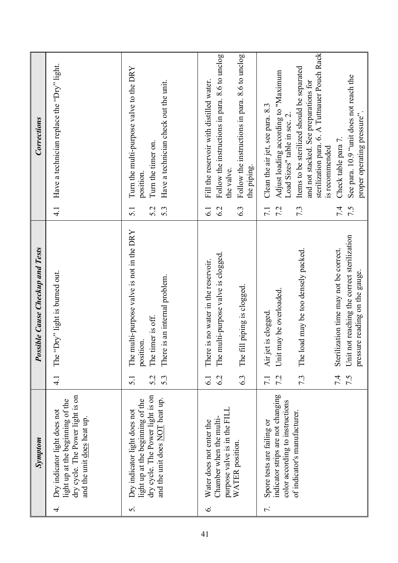|                 | Symptom                                                                                                                                       | <b>Possible Cause Checkup and Tests</b>                                                                                                             |                                | <b>Corrections</b>                                                                                                                                                                                                                              |
|-----------------|-----------------------------------------------------------------------------------------------------------------------------------------------|-----------------------------------------------------------------------------------------------------------------------------------------------------|--------------------------------|-------------------------------------------------------------------------------------------------------------------------------------------------------------------------------------------------------------------------------------------------|
| 4               | dry cycle. The Power light is on<br>light up at the beginning of the<br>Dry indicator light does not<br>and the unit does heat up.            | "Dry" light is burned out.<br>The <sup>'</sup><br>$\frac{1}{4}$                                                                                     | $\frac{1}{4}$                  | Have a technician replace the "Dry" light.                                                                                                                                                                                                      |
| 5.              | dry cycle. The Power light is on<br>and the unit does <b>NOT</b> heat up.<br>light up at the beginning of the<br>Dry indicator light does not | multi-purpose valve is not in the DRY<br>There is an internal problem.<br>The timer is off.<br>position.<br>The i<br>5.2<br>5.3<br>$\overline{5}$ . | 5.3<br>5.2<br>$\overline{5.1}$ | Turn the multi-purpose valve to the DRY<br>Have a technician check out the unit.<br>Turn the timer on.<br>position                                                                                                                              |
| $\acute{\circ}$ | purpose valve is in the FILL<br>Chamber when the multi-<br>Water does not enter the<br>WATER position.                                        | multi-purpose valve is clogged.<br>There is no water in the reservoir.<br>fill piping is clogged.<br>The 1<br>The<br>6.3<br>6.2<br>$\overline{61}$  | 6.3<br>6.2<br>$\overline{61}$  | Follow the instructions in para. 8.6 to unclog<br>Follow the instructions in para. 8.6 to unclog<br>Fill the reservoir with distilled water.<br>the piping.<br>the valve.                                                                       |
| 7.              | indicator strips are not changing<br>color according to instructions<br>of indicator's manufacturer.<br>Spore tests are failing or            | load may be too densely packed.<br>Unit may be overloaded.<br>Air jet is clogged<br>The i<br>7.3<br>7.2<br>$\overline{7.1}$                         | 7.2<br>7.3<br>$\overline{7.1}$ | sterilization para. 6. A Tuttnauer Pouch Rack<br>Items to be sterilized should be separated<br>Adjust loading according to "Maximum<br>and not stacked. See preparations for<br>Clean the air jet, see para. 8.3<br>Load Sizes" table in sec. 2 |
|                 |                                                                                                                                               | Unit not reaching the correct sterilization<br>Sterilization time may not be correct.<br>pressure reading on the gauge.<br>7.4<br>7.5               | 7.4<br>7.5                     | See para. 10.9 "unit does not reach the<br>proper operating pressure"<br>Check table para 7.<br>is recommended                                                                                                                                  |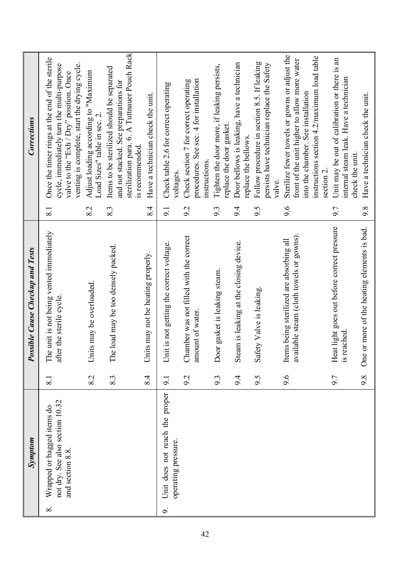|          | <b>Symptom</b>                                                                    |                  | Possible Cause Checkup and Tests                                                    |                  | <b>Corrections</b>                                                                                                                                                                                         |
|----------|-----------------------------------------------------------------------------------|------------------|-------------------------------------------------------------------------------------|------------------|------------------------------------------------------------------------------------------------------------------------------------------------------------------------------------------------------------|
| $\infty$ | not dry. See also section 10.32<br>Wrapped or bagged items do<br>and section 8.8. | $\overline{8}$ . | The unit is not being vented immediately<br>after the sterile cycle.                | $\overline{8.1}$ | Once the timer rings at the end of the sterile<br>venting is complete, start the drying cycle.<br>cycle, immediately turn the multi-purpose<br>valve to the "Exh / Dry" position. Once                     |
|          |                                                                                   | 8.2              | Units may be overloaded                                                             | 8.2              | Adjust loading according to "Maximum<br>Load Sizes" table in sec. 2                                                                                                                                        |
|          |                                                                                   | 8.3              | The load may be too densely packed.                                                 | 8.3              | sterilization para. 6. A Tuttnauer Pouch Rack<br>Items to be sterilized should be separated<br>and not stacked. See preparations for<br>is recommended                                                     |
|          |                                                                                   | 8.4              | its may not be heating properly.<br>$\overline{\text{Li}}$                          | 8.4              | Have a technician check the unit.                                                                                                                                                                          |
| o.       | Unit does not reach the proper<br>operating pressure.                             | 9.1              | Unit is not getting the correct voltage.                                            | 9.1              | Check table 2.6 for correct operating<br>voltages                                                                                                                                                          |
|          |                                                                                   | 9.2              | Chamber was not filled with the correct<br>amount of water.                         | 9.2              | procedures. See sec. 4 for installation<br>Check section 7 for correct operating<br><i>instructions.</i>                                                                                                   |
|          |                                                                                   | 9.3              | Door gasket is leaking steam.                                                       | 9.3              | Tighten the door more, if leaking persists,<br>replace the door gasket                                                                                                                                     |
|          |                                                                                   | 9.4              | Steam is leaking at the closing device.                                             | 9.4              | Door bellows is leaking, have a technician<br>replace the bellows.                                                                                                                                         |
|          |                                                                                   | 9.5              | Safety Valve is leaking                                                             | 9.5              | Follow procedure in section 8.5. If leaking<br>persists have technician replace the Safety<br>valve.                                                                                                       |
|          |                                                                                   | 9.6              | available steam (cloth towels or gowns)<br>Items being sterilized are absorbing all | 9.6              | Sterilize fewer towels or gowns or adjust the<br>instructions section 4.2/maximum load table<br>front of the unit higher to allow more water<br>into the chamber. See installation<br>section <sub>2</sub> |
|          |                                                                                   | 9.7              | Heat light goes out before correct pressure<br>is reached                           | 9.7              | Unit may be out of calibration or there is an<br>internal steam leak. Have a technician<br>check the unit                                                                                                  |
|          |                                                                                   | 9.8              | or more of the heating elements is bad.<br>One                                      | 9.8              | Have a technician check the unit.                                                                                                                                                                          |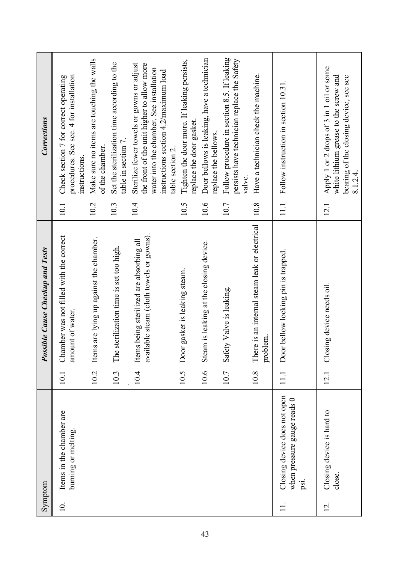|                   | Symptom                                                             |      | <b>Possible Cause Checkup and Tests</b>                                              |          | Corrections                                                                                                                                                                  |
|-------------------|---------------------------------------------------------------------|------|--------------------------------------------------------------------------------------|----------|------------------------------------------------------------------------------------------------------------------------------------------------------------------------------|
| $\overline{10}$ . | Items in the chamber are<br>burning or melting.                     | 10.1 | Chamber was not filled with the correct<br>amount of water.                          | 10.1     | procedures. See sec. 4 for installation<br>Check section 7 for correct operating<br>instructions                                                                             |
|                   |                                                                     | 10.2 | Items are lying up against the chamber.                                              | 10.2     | Make sure no items are touching the walls<br>of the chamber.                                                                                                                 |
|                   |                                                                     | 10.3 | sterilization time is set too high.<br>The                                           | 10.3     | Set the sterilization time according to the<br>table in section 7                                                                                                            |
|                   |                                                                     | 10.4 | available steam (cloth towels or gowns).<br>Items being sterilized are absorbing all | 10.4     | Sterilize fewer towels or gowns or adjust<br>the front of the unit higher to allow more<br>water into the chamber. See installation<br>instructions section 4.2/maximum load |
|                   |                                                                     |      |                                                                                      |          | table section 2                                                                                                                                                              |
|                   |                                                                     | 10.5 | Door gasket is leaking steam.                                                        | 10.5     | Tighten the door more. If leaking persists,<br>replace the door gasket.                                                                                                      |
|                   |                                                                     | 10.6 | Steam is leaking at the closing device.                                              | 10.6     | Door bellows is leaking, have a technician<br>replace the bellows.                                                                                                           |
|                   |                                                                     | 10.7 | Safety Valve is leaking.                                                             | 10.7     | Follow procedure in section 8.5. If leaking<br>persists have technician replace the Safety<br>valve.                                                                         |
|                   |                                                                     | 10.8 | There is an internal steam leak or electrical<br>problem.                            | 10.8     | Have a technician check the machine.                                                                                                                                         |
|                   | Closing device does not open<br>when pressure gauge reads 0<br>psi. |      | Door bellow locking pin is trapped                                                   | $\equiv$ | Follow instruction in section 10.31                                                                                                                                          |
| $\overline{c}$    | Closing device is hard to<br>close.                                 | 12.1 | Closing device needs oil                                                             | 12.1     | Apply 1 or 2 drops of 3 in 1 oil or some<br>white lithium grease to the screw and<br>bearing of the closing device, see sec<br>8.1.24                                        |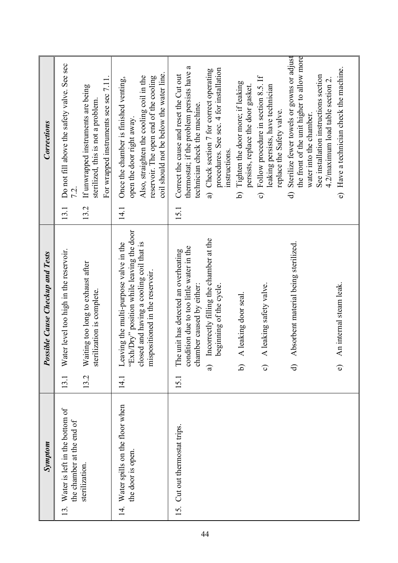| Symptom                                                               | Possible Cause Checkup and Tests                                                                                                                                                    | Corrections                                                                                                                                                                                                  |                                                                                         |
|-----------------------------------------------------------------------|-------------------------------------------------------------------------------------------------------------------------------------------------------------------------------------|--------------------------------------------------------------------------------------------------------------------------------------------------------------------------------------------------------------|-----------------------------------------------------------------------------------------|
| 13. Water is left in the bottom of<br>the chamber at the end of       | Water level too high in the reservoir.<br>13.1                                                                                                                                      | 13.1                                                                                                                                                                                                         | Do not fill above the safety valve. See sec                                             |
| sterilization.                                                        | Waiting too long to exhaust after<br>sterilization is complete.<br>13.2                                                                                                             | For wrapped instruments see sec 7.11.<br>If unwrapped instruments are being<br>sterilized, this is not a problem.<br>13.2                                                                                    |                                                                                         |
| Water spills on the floor when<br>the door is open.<br>$\overline{4}$ | "Exh/Dry" position while leaving the door<br>Leaving the multi-purpose valve in the<br>closed and having a cooling coil that is<br>mispositioned in the reservoir.<br>$\frac{1}{4}$ | coil should not be below the water line.<br>Also, straighten the cooling coil in the<br>reservoir. The open end of the cooling<br>Once the chamber is finished venting,<br>open the door right away.<br>14.1 |                                                                                         |
| 15. Cut out thermostat trips.                                         | condition due to too little water in the<br>The unit has detected an overheating<br>chamber caused by either:<br>15.1                                                               | thermostat; if the problem persists have<br>Correct the cause and reset the Cut out<br>technician check the machine.<br>15.1                                                                                 | ß                                                                                       |
|                                                                       | Incorrectly filling the chamber at the<br>beginning of the cycle.<br>$\widehat{a}$                                                                                                  | a) Check section 7 for correct operating<br><i>instructions</i> .                                                                                                                                            | procedures. See sec. 4 for installation                                                 |
|                                                                       | A leaking door seal.<br>व                                                                                                                                                           | Tighten the door more; if leaking<br>persists, replace the door gasket.<br><u>ત્ર</u>                                                                                                                        |                                                                                         |
|                                                                       | A leaking safety valve.<br>$\widehat{\circ}$                                                                                                                                        | Follow procedure in section 8.5. If<br>leaking persists, have technician<br>replace the Safety valve.<br>$\hat{\circ}$                                                                                       |                                                                                         |
|                                                                       | Absorbent material being sterilized.<br>$\ominus$                                                                                                                                   | water into the chamber.<br>$\widehat{\sigma}$                                                                                                                                                                | Sterilize fewer towels or gowns or adjust<br>the front of the unit higher to allow more |
|                                                                       | An internal steam leak.<br>$\widehat{\bullet}$                                                                                                                                      | e) Have a technician check the machine.<br>4.2/maximum load table section 2.                                                                                                                                 | See installation instructions section                                                   |
|                                                                       |                                                                                                                                                                                     |                                                                                                                                                                                                              |                                                                                         |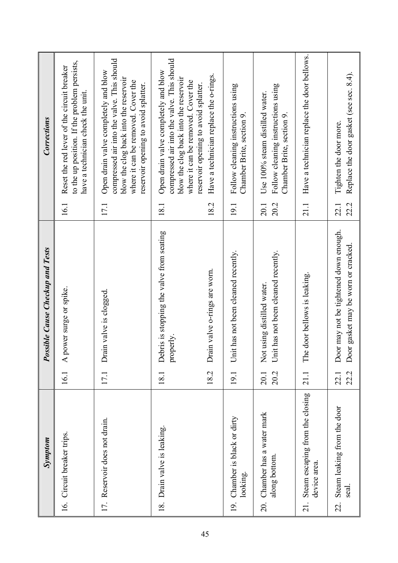| Symptom                                                              |              | <b>Possible Cause Checkup and Tests</b>                                      |              | <b>Corrections</b>                                                                                                                                                                                        |
|----------------------------------------------------------------------|--------------|------------------------------------------------------------------------------|--------------|-----------------------------------------------------------------------------------------------------------------------------------------------------------------------------------------------------------|
| 16. Circuit breaker trips.                                           | 16.1         | A power surge or spike.                                                      | 16.1         | to the up position. If the problem persists,<br>Reset the red lever of the circuit breaker<br>have a technician check the unit.                                                                           |
| 17. Reservoir does not drain.                                        | 17.1         | Drain valve is clogged                                                       | 17.1         | compressed air into the valve. This should<br>Open drain valve completely and blow<br>blow the clog back into the reservoir<br>where it can be removed. Cover the<br>reservoir opening to avoid splatter. |
| Drain valve is leaking.<br>$\frac{8}{18}$                            | 18.1         | Debris is stopping the valve from seating<br>properly.                       | 181          | compressed air into the valve. This should<br>Open drain valve completely and blow<br>blow the clog back into the reservoir<br>where it can be removed. Cover the<br>reservoir opening to avoid splatter. |
|                                                                      | 18.2         | Drain valve o-rings are worn.                                                | 18.2         | Have a technician replace the o-rings.                                                                                                                                                                    |
| 19. Chamber is black or dirty<br>looking.                            | 19.1         | Unit has not been cleaned recently.                                          | 19.1         | Follow cleaning instructions using<br>Chamber Brite, section 9.                                                                                                                                           |
| 20. Chamber has a water mark<br>along bottom.                        | 20.2<br>20.1 | Unit has not been cleaned recently.<br>Not using distilled water.            | 20.2<br>20.1 | Follow cleaning instructions using<br>Use 100% steam distilled water.<br>Chamber Brite, section 9.                                                                                                        |
| Steam escaping from the closing<br>device area.<br>$\overline{21}$ . | 21.1         | The door bellows is leaking.                                                 | 21.1         | Have a technician replace the door bellows.                                                                                                                                                               |
| Steam leaking from the door<br>seal.<br>22.                          | 22.2<br>22.1 | Door may not be tightened down enough.<br>Door gasket may be worn or cracked | 22.2<br>22.1 | Replace the door gasket (see sec. 8.4).<br>Tighten the door more.                                                                                                                                         |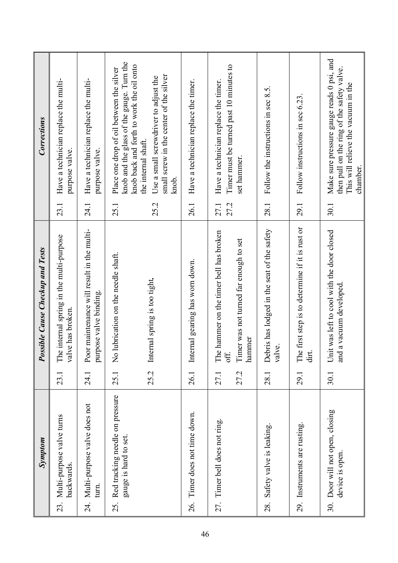| Symptom                                                         |              | Possible Cause Checkup and Tests                                                                    |              | <b>Corrections</b>                                                                                                                         |
|-----------------------------------------------------------------|--------------|-----------------------------------------------------------------------------------------------------|--------------|--------------------------------------------------------------------------------------------------------------------------------------------|
| 23. Multi-purpose valve turns<br>backwards.                     | 23.1         | The internal spring in the multi-purpose<br>valve has broken.                                       | 23.1         | Have a technician replace the multi-<br>purpose valve.                                                                                     |
| 24. Multi-purpose valve does not<br>turn.                       | 24.1         | Poor maintenance will result in the multi-<br>purpose valve binding.                                | 24.1         | Have a technician replace the multi-<br>purpose valve.                                                                                     |
| Red tracking needle on pressure<br>gauge is hard to set.<br>25. | 25.1         | lubrication on the needle shaft.<br>$\mathsf{S}^{\mathsf{O}}$                                       | 25.1         | knob and the glass of the gauge. Turn the<br>knob back and forth to work the oil onto<br>Place one drop of oil between the silver          |
|                                                                 | 25.2         | Internal spring is too tight.                                                                       | 25.2         | small screw in the center of the silver<br>Use a small screwdriver to adjust the<br>the internal shaft.<br>knob.                           |
| 26. Timer does not time down.                                   | 26.1         | Internal gearing has worn down.                                                                     | 26.1         | Have a technician replace the timer.                                                                                                       |
| 27. Timer bell does not ring.                                   | 27.2<br>27.1 | The hammer on the timer bell has broken<br>Timer was not turned far enough to set<br>hammer<br>off. | 27.2<br>27.1 | Timer must be turned past 10 minutes to<br>Have a technician replace the timer.<br>set hammer.                                             |
| Safety valve is leaking.<br>28.                                 | 28.1         | Debris has lodged in the seat of the safety<br>valve.                                               | 28.1         | Follow the instructions in sec 8.5.                                                                                                        |
| 29. Instruments are rusting.                                    | 29.1         | The first step is to determine if it is rust or<br>dirt.                                            | 29.1         | Follow instructions in sec 6.23                                                                                                            |
| 30. Door will not open, closing<br>device is open.              | 30.1         | Unit was left to cool with the door closed<br>a vacuum developed<br>and                             | 30.1         | Make sure pressure gauge reads 0 psi, and<br>then pull on the ring of the safety valve.<br>This will relieve the vacuum in the<br>chamber. |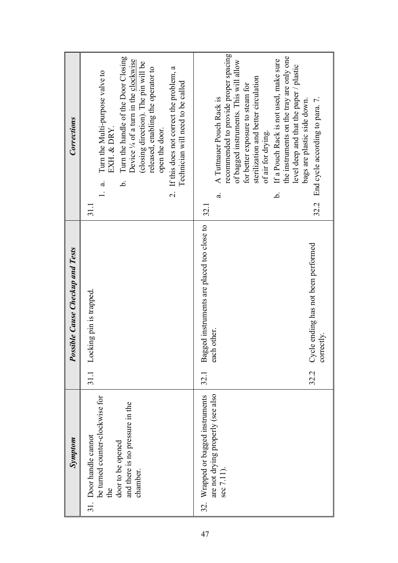| Symptom                                                                                                                              | <b>Possible Cause Checkup and Tests</b>                                                                                        | Corrections                                                                                                                                                                                                                                                                                                                                                                                                                                        |
|--------------------------------------------------------------------------------------------------------------------------------------|--------------------------------------------------------------------------------------------------------------------------------|----------------------------------------------------------------------------------------------------------------------------------------------------------------------------------------------------------------------------------------------------------------------------------------------------------------------------------------------------------------------------------------------------------------------------------------------------|
| be turned counter-clockwise for<br>and there is no pressure in the<br>31. Door handle cannot<br>door to be opened<br>chamber.<br>the | Locking pin is trapped.<br>31.1                                                                                                | Turn the handle of the Door Closing<br>Device $\frac{1}{4}$ of a turn in the clockwise<br>(closing direction). The pin will be<br>If this does not correct the problem, a<br>released, enabling the operator to<br>Turn the Multi-purpose valve to<br>Technician will need to be called<br>EXH. & DRY.<br>open the door.<br>نم.<br>$\ddot{\circ}$<br>$\overline{c}$<br>31.1                                                                        |
| are not drying properly (see also<br>32. Wrapped or bagged instruments<br>sec 7.11).                                                 | Bagged instruments are placed too close to<br>Cycle ending has not been performed<br>each other.<br>correctly.<br>32.2<br>32.1 | recommended to provide proper spacing<br>the instruments on the tray are only one<br>If a Pouch Rack is not used, make sure<br>of bagged instruments. This will allow<br>level deep and that the paper / plastic<br>sterilization and better circulation<br>for better exposure to steam for<br>A Tuttnauer Pouch Rack is<br>32.2 End cycle according to para. 7.<br>bags are plastic side down.<br>of air for drying.<br>نم.<br>$\vec{a}$<br>32.1 |
|                                                                                                                                      |                                                                                                                                |                                                                                                                                                                                                                                                                                                                                                                                                                                                    |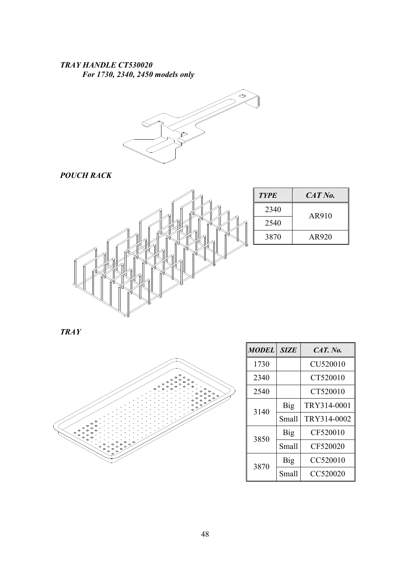# TRAY HANDLE CT530020 For 1730, 2340, 2450 models only

![](_page_49_Picture_1.jpeg)

POUCH RACK

![](_page_49_Figure_3.jpeg)

| <b>TYPE</b> | CAT No. |  |  |  |  |
|-------------|---------|--|--|--|--|
| 2340        | AR910   |  |  |  |  |
| 2540        |         |  |  |  |  |
| 3870        | AR920   |  |  |  |  |

TRAY

![](_page_49_Figure_6.jpeg)

| <b>MODEL</b> | <b>SIZE</b> | $CAT.$ No.  |  |  |  |
|--------------|-------------|-------------|--|--|--|
| 1730         |             | CU520010    |  |  |  |
| 2340         |             | CT520010    |  |  |  |
| 2540         |             | CT520010    |  |  |  |
| 3140         | <b>Big</b>  | TRY314-0001 |  |  |  |
|              | Small       | TRY314-0002 |  |  |  |
| 3850         | Big         | CF520010    |  |  |  |
|              | Small       | CF520020    |  |  |  |
| 3870         | Big         | CC520010    |  |  |  |
|              | Small       | CC520020    |  |  |  |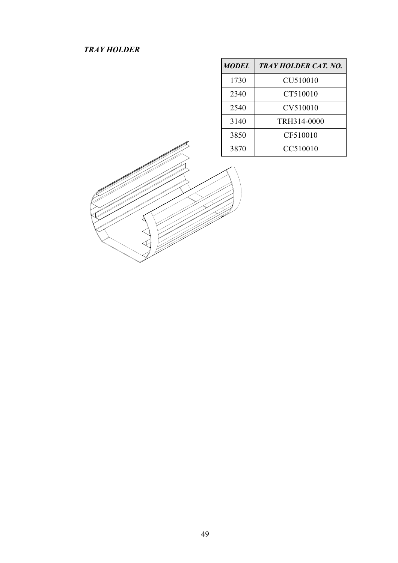TRAYHOLDER

| <b>MODEL</b> | <b>TRAY HOLDER CAT. NO.</b> |
|--------------|-----------------------------|
| 1730         | CU510010                    |
| 2340         | CT510010                    |
| 2540         | CV510010                    |
| 3140         | TRH314-0000                 |
| 3850         | CF510010                    |
| 3870         | CC510010                    |

![](_page_50_Picture_2.jpeg)